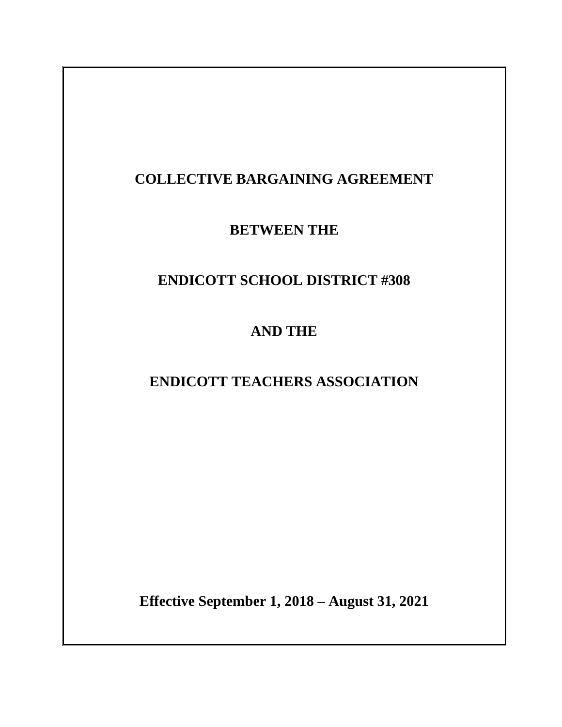# **COLLECTIVE BARGAINING AGREEMENT**

**BETWEEN THE**

# **ENDICOTT SCHOOL DISTRICT #308**

**AND THE**

**ENDICOTT TEACHERS ASSOCIATION**

**Effective September 1, 2018 – August 31, 2021**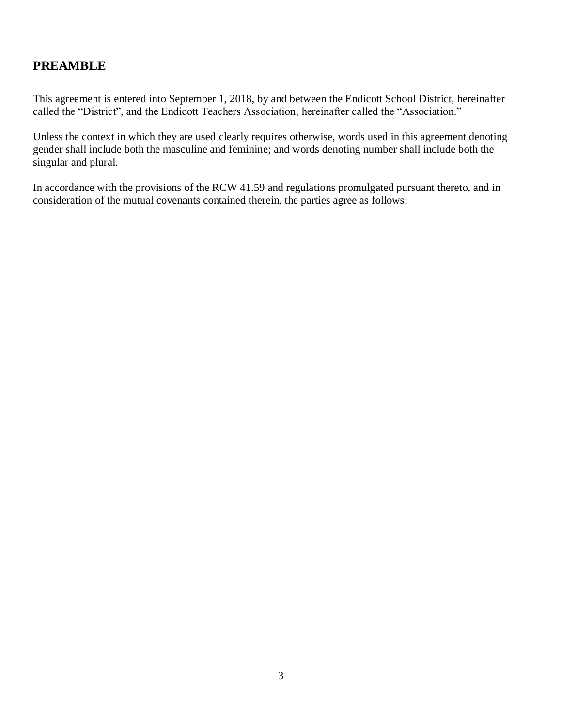## **PREAMBLE**

This agreement is entered into September 1, 2018, by and between the Endicott School District, hereinafter called the "District", and the Endicott Teachers Association, hereinafter called the "Association."

Unless the context in which they are used clearly requires otherwise, words used in this agreement denoting gender shall include both the masculine and feminine; and words denoting number shall include both the singular and plural.

In accordance with the provisions of the RCW 41.59 and regulations promulgated pursuant thereto, and in consideration of the mutual covenants contained therein, the parties agree as follows: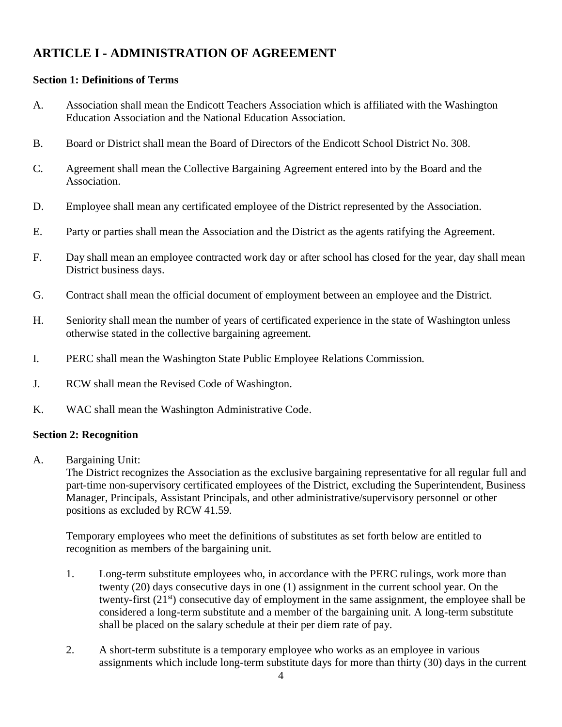## **ARTICLE I - ADMINISTRATION OF AGREEMENT**

#### **Section 1: Definitions of Terms**

- A. Association shall mean the Endicott Teachers Association which is affiliated with the Washington Education Association and the National Education Association.
- B. Board or District shall mean the Board of Directors of the Endicott School District No. 308.
- C. Agreement shall mean the Collective Bargaining Agreement entered into by the Board and the Association.
- D. Employee shall mean any certificated employee of the District represented by the Association.
- E. Party or parties shall mean the Association and the District as the agents ratifying the Agreement.
- F. Day shall mean an employee contracted work day or after school has closed for the year, day shall mean District business days.
- G. Contract shall mean the official document of employment between an employee and the District.
- H. Seniority shall mean the number of years of certificated experience in the state of Washington unless otherwise stated in the collective bargaining agreement.
- I. PERC shall mean the Washington State Public Employee Relations Commission.
- J. RCW shall mean the Revised Code of Washington.
- K. WAC shall mean the Washington Administrative Code.

#### **Section 2: Recognition**

A. Bargaining Unit:

The District recognizes the Association as the exclusive bargaining representative for all regular full and part-time non-supervisory certificated employees of the District, excluding the Superintendent, Business Manager, Principals, Assistant Principals, and other administrative/supervisory personnel or other positions as excluded by RCW 41.59.

Temporary employees who meet the definitions of substitutes as set forth below are entitled to recognition as members of the bargaining unit.

- 1. Long-term substitute employees who, in accordance with the PERC rulings, work more than twenty (20) days consecutive days in one (1) assignment in the current school year. On the twenty-first  $(21<sup>st</sup>)$  consecutive day of employment in the same assignment, the employee shall be considered a long-term substitute and a member of the bargaining unit. A long-term substitute shall be placed on the salary schedule at their per diem rate of pay.
- 2. A short-term substitute is a temporary employee who works as an employee in various assignments which include long-term substitute days for more than thirty (30) days in the current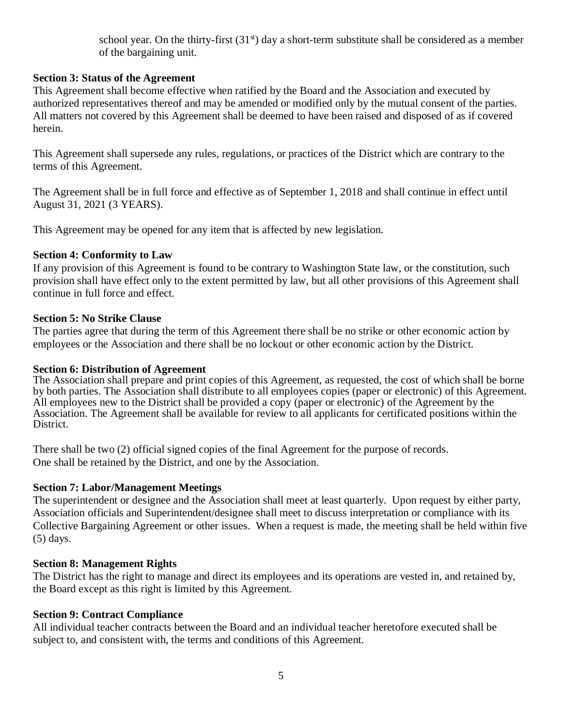school year. On the thirty-first  $(31<sup>st</sup>)$  day a short-term substitute shall be considered as a member of the bargaining unit.

#### **Section 3: Status of the Agreement**

This Agreement shall become effective when ratified by the Board and the Association and executed by authorized representatives thereof and may be amended or modified only by the mutual consent of the parties. All matters not covered by this Agreement shall be deemed to have been raised and disposed of as if covered herein.

This Agreement shall supersede any rules, regulations, or practices of the District which are contrary to the terms of this Agreement.

The Agreement shall be in full force and effective as of September 1, 2018 and shall continue in effect until August 31, 2021 (3 YEARS).

This Agreement may be opened for any item that is affected by new legislation.

#### **Section 4: Conformity to Law**

If any provision of this Agreement is found to be contrary to Washington State law, or the constitution, such provision shall have effect only to the extent permitted by law, but all other provisions of this Agreement shall continue in full force and effect.

#### **Section 5: No Strike Clause**

The parties agree that during the term of this Agreement there shall be no strike or other economic action by employees or the Association and there shall be no lockout or other economic action by the District.

#### **Section 6: Distribution of Agreement**

The Association shall prepare and print copies of this Agreement, as requested, the cost of which shall be borne by both parties. The Association shall distribute to all employees copies (paper or electronic) of this Agreement. All employees new to the District shall be provided a copy (paper or electronic) of the Agreement by the Association. The Agreement shall be available for review to all applicants for certificated positions within the District.

There shall be two (2) official signed copies of the final Agreement for the purpose of records. One shall be retained by the District, and one by the Association.

#### **Section 7: Labor/Management Meetings**

The superintendent or designee and the Association shall meet at least quarterly. Upon request by either party, Association officials and Superintendent/designee shall meet to discuss interpretation or compliance with its Collective Bargaining Agreement or other issues. When a request is made, the meeting shall be held within five (5) days.

#### **Section 8: Management Rights**

The District has the right to manage and direct its employees and its operations are vested in, and retained by, the Board except as this right is limited by this Agreement.

#### **Section 9: Contract Compliance**

All individual teacher contracts between the Board and an individual teacher heretofore executed shall be subject to, and consistent with, the terms and conditions of this Agreement.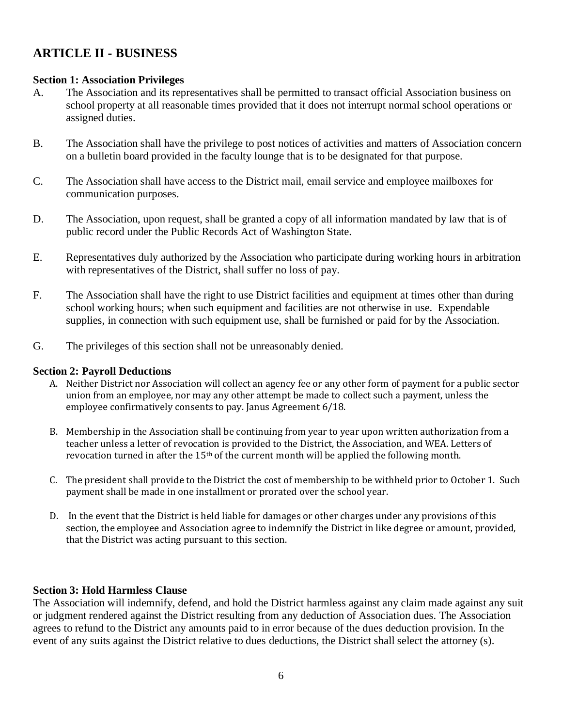## **ARTICLE II - BUSINESS**

#### **Section 1: Association Privileges**

- A. The Association and its representatives shall be permitted to transact official Association business on school property at all reasonable times provided that it does not interrupt normal school operations or assigned duties.
- B. The Association shall have the privilege to post notices of activities and matters of Association concern on a bulletin board provided in the faculty lounge that is to be designated for that purpose.
- C. The Association shall have access to the District mail, email service and employee mailboxes for communication purposes.
- D. The Association, upon request, shall be granted a copy of all information mandated by law that is of public record under the Public Records Act of Washington State.
- E. Representatives duly authorized by the Association who participate during working hours in arbitration with representatives of the District, shall suffer no loss of pay.
- F. The Association shall have the right to use District facilities and equipment at times other than during school working hours; when such equipment and facilities are not otherwise in use. Expendable supplies, in connection with such equipment use, shall be furnished or paid for by the Association.
- G. The privileges of this section shall not be unreasonably denied.

#### **Section 2: Payroll Deductions**

- A. Neither District nor Association will collect an agency fee or any other form of payment for a public sector union from an employee, nor may any other attempt be made to collect such a payment, unless the employee confirmatively consents to pay. Janus Agreement 6/18.
- B. Membership in the Association shall be continuing from year to year upon written authorization from a teacher unless a letter of revocation is provided to the District, the Association, and WEA. Letters of revocation turned in after the 15th of the current month will be applied the following month.
- C. The president shall provide to the District the cost of membership to be withheld prior to October 1. Such payment shall be made in one installment or prorated over the school year.
- D. In the event that the District is held liable for damages or other charges under any provisions of this section, the employee and Association agree to indemnify the District in like degree or amount, provided, that the District was acting pursuant to this section.

#### **Section 3: Hold Harmless Clause**

The Association will indemnify, defend, and hold the District harmless against any claim made against any suit or judgment rendered against the District resulting from any deduction of Association dues. The Association agrees to refund to the District any amounts paid to in error because of the dues deduction provision. In the event of any suits against the District relative to dues deductions, the District shall select the attorney (s).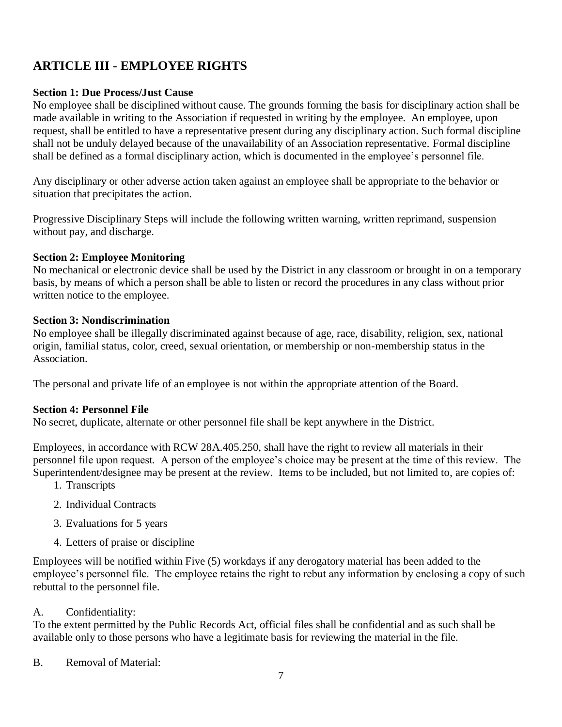## **ARTICLE III - EMPLOYEE RIGHTS**

#### **Section 1: Due Process/Just Cause**

No employee shall be disciplined without cause. The grounds forming the basis for disciplinary action shall be made available in writing to the Association if requested in writing by the employee. An employee, upon request, shall be entitled to have a representative present during any disciplinary action. Such formal discipline shall not be unduly delayed because of the unavailability of an Association representative. Formal discipline shall be defined as a formal disciplinary action, which is documented in the employee's personnel file.

Any disciplinary or other adverse action taken against an employee shall be appropriate to the behavior or situation that precipitates the action.

Progressive Disciplinary Steps will include the following written warning, written reprimand, suspension without pay, and discharge.

#### **Section 2: Employee Monitoring**

No mechanical or electronic device shall be used by the District in any classroom or brought in on a temporary basis, by means of which a person shall be able to listen or record the procedures in any class without prior written notice to the employee.

#### **Section 3: Nondiscrimination**

No employee shall be illegally discriminated against because of age, race, disability, religion, sex, national origin, familial status, color, creed, sexual orientation, or membership or non-membership status in the Association.

The personal and private life of an employee is not within the appropriate attention of the Board.

#### **Section 4: Personnel File**

No secret, duplicate, alternate or other personnel file shall be kept anywhere in the District.

Employees, in accordance with RCW 28A.405.250, shall have the right to review all materials in their personnel file upon request. A person of the employee's choice may be present at the time of this review. The Superintendent/designee may be present at the review. Items to be included, but not limited to, are copies of:

- 1. Transcripts
- 2. Individual Contracts
- 3. Evaluations for 5 years
- 4. Letters of praise or discipline

Employees will be notified within Five (5) workdays if any derogatory material has been added to the employee's personnel file. The employee retains the right to rebut any information by enclosing a copy of such rebuttal to the personnel file.

#### A. Confidentiality:

To the extent permitted by the Public Records Act, official files shall be confidential and as such shall be available only to those persons who have a legitimate basis for reviewing the material in the file.

B. Removal of Material: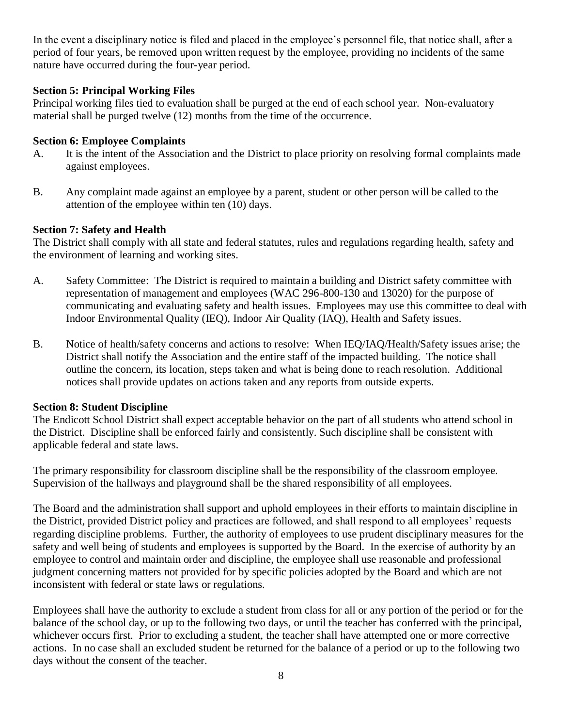In the event a disciplinary notice is filed and placed in the employee's personnel file, that notice shall, after a period of four years, be removed upon written request by the employee, providing no incidents of the same nature have occurred during the four-year period.

#### **Section 5: Principal Working Files**

Principal working files tied to evaluation shall be purged at the end of each school year. Non-evaluatory material shall be purged twelve (12) months from the time of the occurrence.

#### **Section 6: Employee Complaints**

- A. It is the intent of the Association and the District to place priority on resolving formal complaints made against employees.
- B. Any complaint made against an employee by a parent, student or other person will be called to the attention of the employee within ten (10) days.

#### **Section 7: Safety and Health**

The District shall comply with all state and federal statutes, rules and regulations regarding health, safety and the environment of learning and working sites.

- A. Safety Committee: The District is required to maintain a building and District safety committee with representation of management and employees (WAC 296-800-130 and 13020) for the purpose of communicating and evaluating safety and health issues. Employees may use this committee to deal with Indoor Environmental Quality (IEQ), Indoor Air Quality (IAQ), Health and Safety issues.
- B. Notice of health/safety concerns and actions to resolve: When IEQ/IAQ/Health/Safety issues arise; the District shall notify the Association and the entire staff of the impacted building. The notice shall outline the concern, its location, steps taken and what is being done to reach resolution. Additional notices shall provide updates on actions taken and any reports from outside experts.

#### **Section 8: Student Discipline**

The Endicott School District shall expect acceptable behavior on the part of all students who attend school in the District. Discipline shall be enforced fairly and consistently. Such discipline shall be consistent with applicable federal and state laws.

The primary responsibility for classroom discipline shall be the responsibility of the classroom employee. Supervision of the hallways and playground shall be the shared responsibility of all employees.

The Board and the administration shall support and uphold employees in their efforts to maintain discipline in the District, provided District policy and practices are followed, and shall respond to all employees' requests regarding discipline problems. Further, the authority of employees to use prudent disciplinary measures for the safety and well being of students and employees is supported by the Board. In the exercise of authority by an employee to control and maintain order and discipline, the employee shall use reasonable and professional judgment concerning matters not provided for by specific policies adopted by the Board and which are not inconsistent with federal or state laws or regulations.

Employees shall have the authority to exclude a student from class for all or any portion of the period or for the balance of the school day, or up to the following two days, or until the teacher has conferred with the principal, whichever occurs first. Prior to excluding a student, the teacher shall have attempted one or more corrective actions. In no case shall an excluded student be returned for the balance of a period or up to the following two days without the consent of the teacher.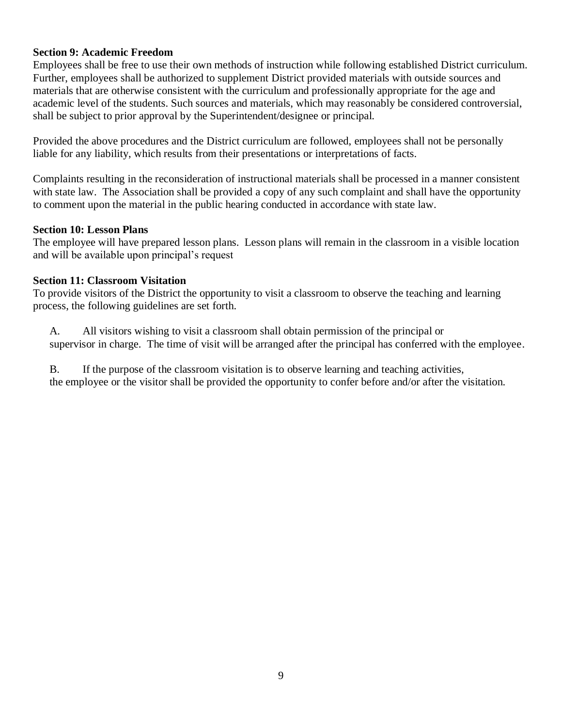#### **Section 9: Academic Freedom**

Employees shall be free to use their own methods of instruction while following established District curriculum. Further, employees shall be authorized to supplement District provided materials with outside sources and materials that are otherwise consistent with the curriculum and professionally appropriate for the age and academic level of the students. Such sources and materials, which may reasonably be considered controversial, shall be subject to prior approval by the Superintendent/designee or principal.

Provided the above procedures and the District curriculum are followed, employees shall not be personally liable for any liability, which results from their presentations or interpretations of facts.

Complaints resulting in the reconsideration of instructional materials shall be processed in a manner consistent with state law. The Association shall be provided a copy of any such complaint and shall have the opportunity to comment upon the material in the public hearing conducted in accordance with state law.

#### **Section 10: Lesson Plans**

The employee will have prepared lesson plans. Lesson plans will remain in the classroom in a visible location and will be available upon principal's request

#### **Section 11: Classroom Visitation**

To provide visitors of the District the opportunity to visit a classroom to observe the teaching and learning process, the following guidelines are set forth.

A. All visitors wishing to visit a classroom shall obtain permission of the principal or supervisor in charge. The time of visit will be arranged after the principal has conferred with the employee.

B. If the purpose of the classroom visitation is to observe learning and teaching activities, the employee or the visitor shall be provided the opportunity to confer before and/or after the visitation.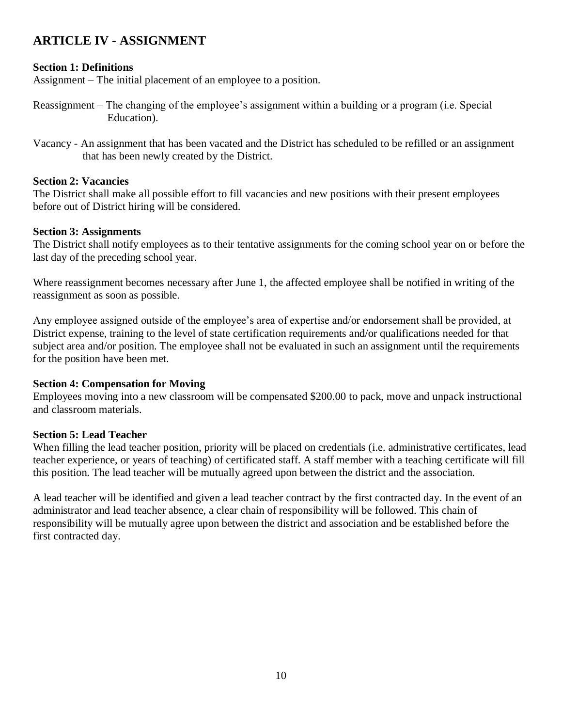## **ARTICLE IV - ASSIGNMENT**

#### **Section 1: Definitions**

Assignment – The initial placement of an employee to a position.

- Reassignment The changing of the employee's assignment within a building or a program (i.e. Special Education).
- Vacancy An assignment that has been vacated and the District has scheduled to be refilled or an assignment that has been newly created by the District.

#### **Section 2: Vacancies**

The District shall make all possible effort to fill vacancies and new positions with their present employees before out of District hiring will be considered.

#### **Section 3: Assignments**

The District shall notify employees as to their tentative assignments for the coming school year on or before the last day of the preceding school year.

Where reassignment becomes necessary after June 1, the affected employee shall be notified in writing of the reassignment as soon as possible.

Any employee assigned outside of the employee's area of expertise and/or endorsement shall be provided, at District expense, training to the level of state certification requirements and/or qualifications needed for that subject area and/or position. The employee shall not be evaluated in such an assignment until the requirements for the position have been met.

#### **Section 4: Compensation for Moving**

Employees moving into a new classroom will be compensated \$200.00 to pack, move and unpack instructional and classroom materials.

#### **Section 5: Lead Teacher**

When filling the lead teacher position, priority will be placed on credentials (i.e. administrative certificates, lead teacher experience, or years of teaching) of certificated staff. A staff member with a teaching certificate will fill this position. The lead teacher will be mutually agreed upon between the district and the association.

A lead teacher will be identified and given a lead teacher contract by the first contracted day. In the event of an administrator and lead teacher absence, a clear chain of responsibility will be followed. This chain of responsibility will be mutually agree upon between the district and association and be established before the first contracted day.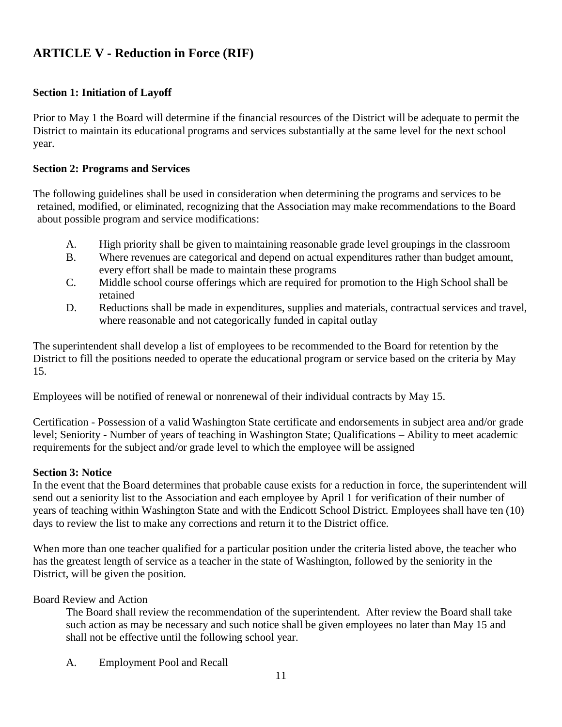## **ARTICLE V - Reduction in Force (RIF)**

#### **Section 1: Initiation of Layoff**

Prior to May 1 the Board will determine if the financial resources of the District will be adequate to permit the District to maintain its educational programs and services substantially at the same level for the next school year.

#### **Section 2: Programs and Services**

The following guidelines shall be used in consideration when determining the programs and services to be retained, modified, or eliminated, recognizing that the Association may make recommendations to the Board about possible program and service modifications:

- A. High priority shall be given to maintaining reasonable grade level groupings in the classroom
- B. Where revenues are categorical and depend on actual expenditures rather than budget amount, every effort shall be made to maintain these programs
- C. Middle school course offerings which are required for promotion to the High School shall be retained
- D. Reductions shall be made in expenditures, supplies and materials, contractual services and travel, where reasonable and not categorically funded in capital outlay

The superintendent shall develop a list of employees to be recommended to the Board for retention by the District to fill the positions needed to operate the educational program or service based on the criteria by May 15.

Employees will be notified of renewal or nonrenewal of their individual contracts by May 15.

Certification - Possession of a valid Washington State certificate and endorsements in subject area and/or grade level; Seniority - Number of years of teaching in Washington State; Qualifications – Ability to meet academic requirements for the subject and/or grade level to which the employee will be assigned

#### **Section 3: Notice**

In the event that the Board determines that probable cause exists for a reduction in force, the superintendent will send out a seniority list to the Association and each employee by April 1 for verification of their number of years of teaching within Washington State and with the Endicott School District. Employees shall have ten (10) days to review the list to make any corrections and return it to the District office.

When more than one teacher qualified for a particular position under the criteria listed above, the teacher who has the greatest length of service as a teacher in the state of Washington, followed by the seniority in the District, will be given the position.

Board Review and Action

The Board shall review the recommendation of the superintendent. After review the Board shall take such action as may be necessary and such notice shall be given employees no later than May 15 and shall not be effective until the following school year.

A. Employment Pool and Recall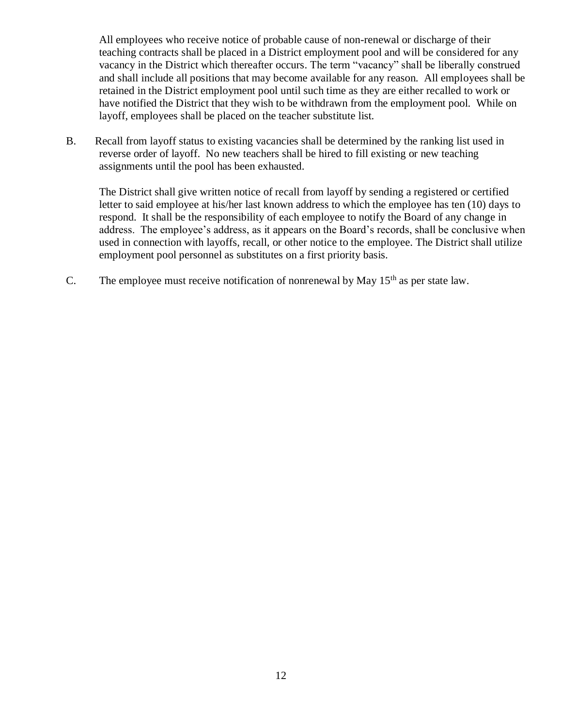All employees who receive notice of probable cause of non-renewal or discharge of their teaching contracts shall be placed in a District employment pool and will be considered for any vacancy in the District which thereafter occurs. The term "vacancy" shall be liberally construed and shall include all positions that may become available for any reason. All employees shall be retained in the District employment pool until such time as they are either recalled to work or have notified the District that they wish to be withdrawn from the employment pool. While on layoff, employees shall be placed on the teacher substitute list.

B. Recall from layoff status to existing vacancies shall be determined by the ranking list used in reverse order of layoff. No new teachers shall be hired to fill existing or new teaching assignments until the pool has been exhausted.

The District shall give written notice of recall from layoff by sending a registered or certified letter to said employee at his/her last known address to which the employee has ten (10) days to respond. It shall be the responsibility of each employee to notify the Board of any change in address. The employee's address, as it appears on the Board's records, shall be conclusive when used in connection with layoffs, recall, or other notice to the employee. The District shall utilize employment pool personnel as substitutes on a first priority basis.

C. The employee must receive notification of nonrenewal by May  $15<sup>th</sup>$  as per state law.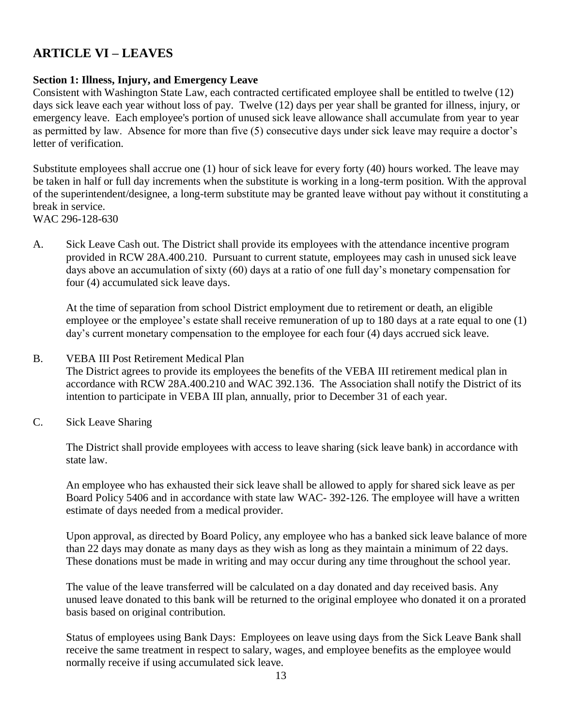## **ARTICLE VI – LEAVES**

## **Section 1: Illness, Injury, and Emergency Leave**

Consistent with Washington State Law, each contracted certificated employee shall be entitled to twelve (12) days sick leave each year without loss of pay. Twelve (12) days per year shall be granted for illness, injury, or emergency leave. Each employee's portion of unused sick leave allowance shall accumulate from year to year as permitted by law. Absence for more than five (5) consecutive days under sick leave may require a doctor's letter of verification.

Substitute employees shall accrue one (1) hour of sick leave for every forty (40) hours worked. The leave may be taken in half or full day increments when the substitute is working in a long-term position. With the approval of the superintendent/designee, a long-term substitute may be granted leave without pay without it constituting a break in service.

WAC 296-128-630

A. Sick Leave Cash out. The District shall provide its employees with the attendance incentive program provided in RCW 28A.400.210. Pursuant to current statute, employees may cash in unused sick leave days above an accumulation of sixty (60) days at a ratio of one full day's monetary compensation for four (4) accumulated sick leave days.

At the time of separation from school District employment due to retirement or death, an eligible employee or the employee's estate shall receive remuneration of up to 180 days at a rate equal to one (1) day's current monetary compensation to the employee for each four (4) days accrued sick leave.

#### B. VEBA III Post Retirement Medical Plan

The District agrees to provide its employees the benefits of the VEBA III retirement medical plan in accordance with RCW 28A.400.210 and WAC 392.136. The Association shall notify the District of its intention to participate in VEBA III plan, annually, prior to December 31 of each year.

C. Sick Leave Sharing

The District shall provide employees with access to leave sharing (sick leave bank) in accordance with state law.

An employee who has exhausted their sick leave shall be allowed to apply for shared sick leave as per Board Policy 5406 and in accordance with state law WAC- 392-126. The employee will have a written estimate of days needed from a medical provider.

Upon approval, as directed by Board Policy, any employee who has a banked sick leave balance of more than 22 days may donate as many days as they wish as long as they maintain a minimum of 22 days. These donations must be made in writing and may occur during any time throughout the school year.

The value of the leave transferred will be calculated on a day donated and day received basis. Any unused leave donated to this bank will be returned to the original employee who donated it on a prorated basis based on original contribution.

Status of employees using Bank Days: Employees on leave using days from the Sick Leave Bank shall receive the same treatment in respect to salary, wages, and employee benefits as the employee would normally receive if using accumulated sick leave.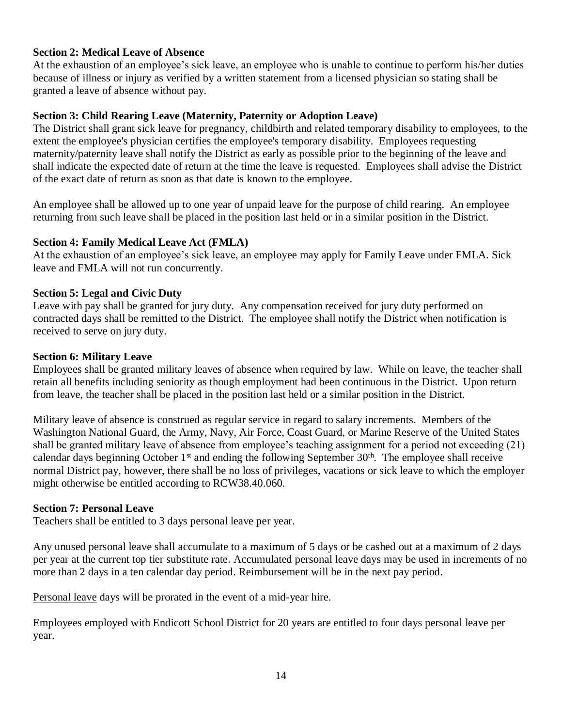#### **Section 2: Medical Leave of Absence**

At the exhaustion of an employee's sick leave, an employee who is unable to continue to perform his/her duties because of illness or injury as verified by a written statement from a licensed physician so stating shall be granted a leave of absence without pay.

#### **Section 3: Child Rearing Leave (Maternity, Paternity or Adoption Leave)**

The District shall grant sick leave for pregnancy, childbirth and related temporary disability to employees, to the extent the employee's physician certifies the employee's temporary disability. Employees requesting maternity/paternity leave shall notify the District as early as possible prior to the beginning of the leave and shall indicate the expected date of return at the time the leave is requested. Employees shall advise the District of the exact date of return as soon as that date is known to the employee.

An employee shall be allowed up to one year of unpaid leave for the purpose of child rearing. An employee returning from such leave shall be placed in the position last held or in a similar position in the District.

#### **Section 4: Family Medical Leave Act (FMLA)**

At the exhaustion of an employee's sick leave, an employee may apply for Family Leave under FMLA. Sick leave and FMLA will not run concurrently.

#### **Section 5: Legal and Civic Duty**

Leave with pay shall be granted for jury duty. Any compensation received for jury duty performed on contracted days shall be remitted to the District. The employee shall notify the District when notification is received to serve on jury duty.

#### **Section 6: Military Leave**

Employees shall be granted military leaves of absence when required by law. While on leave, the teacher shall retain all benefits including seniority as though employment had been continuous in the District. Upon return from leave, the teacher shall be placed in the position last held or a similar position in the District.

Military leave of absence is construed as regular service in regard to salary increments. Members of the Washington National Guard, the Army, Navy, Air Force, Coast Guard, or Marine Reserve of the United States shall be granted military leave of absence from employee's teaching assignment for a period not exceeding (21) calendar days beginning October 1<sup>st</sup> and ending the following September 30<sup>th</sup>. The employee shall receive normal District pay, however, there shall be no loss of privileges, vacations or sick leave to which the employer might otherwise be entitled according to RCW38.40.060.

#### **Section 7: Personal Leave**

Teachers shall be entitled to 3 days personal leave per year.

Any unused personal leave shall accumulate to a maximum of 5 days or be cashed out at a maximum of 2 days per year at the current top tier substitute rate. Accumulated personal leave days may be used in increments of no more than 2 days in a ten calendar day period. Reimbursement will be in the next pay period.

Personal leave days will be prorated in the event of a mid-year hire.

Employees employed with Endicott School District for 20 years are entitled to four days personal leave per year.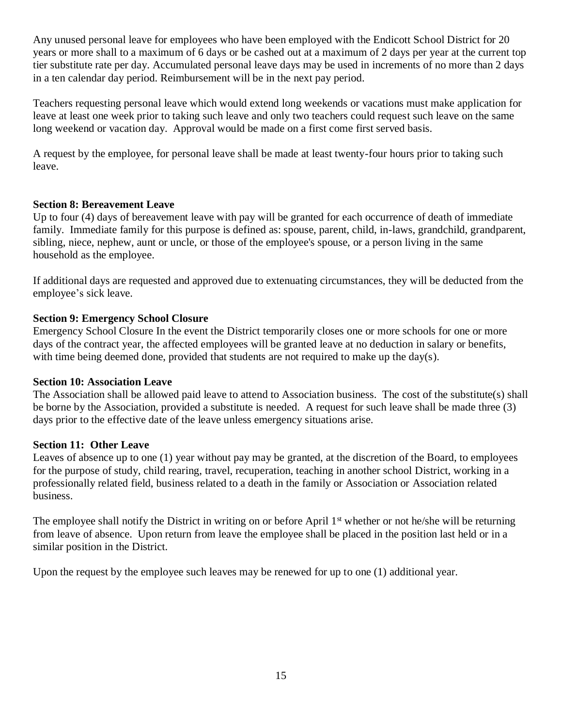Any unused personal leave for employees who have been employed with the Endicott School District for 20 years or more shall to a maximum of 6 days or be cashed out at a maximum of 2 days per year at the current top tier substitute rate per day. Accumulated personal leave days may be used in increments of no more than 2 days in a ten calendar day period. Reimbursement will be in the next pay period.

Teachers requesting personal leave which would extend long weekends or vacations must make application for leave at least one week prior to taking such leave and only two teachers could request such leave on the same long weekend or vacation day. Approval would be made on a first come first served basis.

A request by the employee, for personal leave shall be made at least twenty-four hours prior to taking such leave.

#### **Section 8: Bereavement Leave**

Up to four (4) days of bereavement leave with pay will be granted for each occurrence of death of immediate family. Immediate family for this purpose is defined as: spouse, parent, child, in-laws, grandchild, grandparent, sibling, niece, nephew, aunt or uncle, or those of the employee's spouse, or a person living in the same household as the employee.

If additional days are requested and approved due to extenuating circumstances, they will be deducted from the employee's sick leave.

#### **Section 9: Emergency School Closure**

Emergency School Closure In the event the District temporarily closes one or more schools for one or more days of the contract year, the affected employees will be granted leave at no deduction in salary or benefits, with time being deemed done, provided that students are not required to make up the day(s).

#### **Section 10: Association Leave**

The Association shall be allowed paid leave to attend to Association business. The cost of the substitute(s) shall be borne by the Association, provided a substitute is needed. A request for such leave shall be made three (3) days prior to the effective date of the leave unless emergency situations arise.

#### **Section 11: Other Leave**

Leaves of absence up to one (1) year without pay may be granted, at the discretion of the Board, to employees for the purpose of study, child rearing, travel, recuperation, teaching in another school District, working in a professionally related field, business related to a death in the family or Association or Association related business.

The employee shall notify the District in writing on or before April  $1<sup>st</sup>$  whether or not he/she will be returning from leave of absence. Upon return from leave the employee shall be placed in the position last held or in a similar position in the District.

Upon the request by the employee such leaves may be renewed for up to one (1) additional year.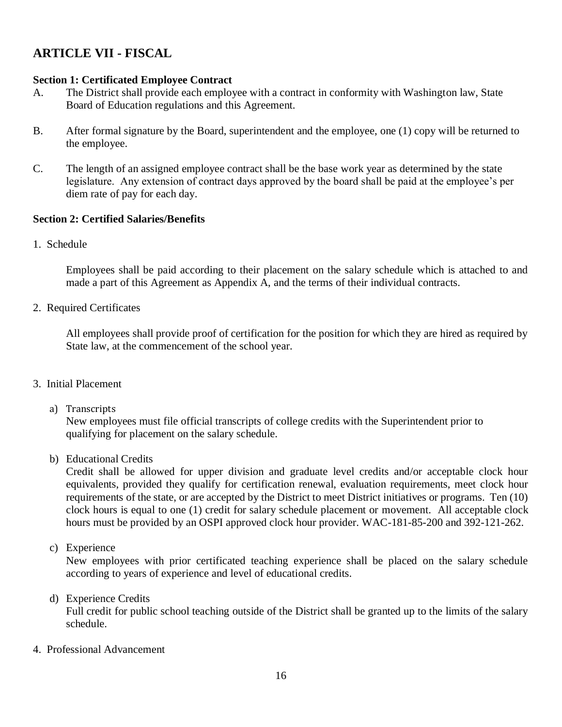## **ARTICLE VII - FISCAL**

## **Section 1: Certificated Employee Contract**

- A. The District shall provide each employee with a contract in conformity with Washington law, State Board of Education regulations and this Agreement.
- B. After formal signature by the Board, superintendent and the employee, one (1) copy will be returned to the employee.
- C. The length of an assigned employee contract shall be the base work year as determined by the state legislature. Any extension of contract days approved by the board shall be paid at the employee's per diem rate of pay for each day.

## **Section 2: Certified Salaries/Benefits**

1. Schedule

Employees shall be paid according to their placement on the salary schedule which is attached to and made a part of this Agreement as Appendix A, and the terms of their individual contracts.

2. Required Certificates

All employees shall provide proof of certification for the position for which they are hired as required by State law, at the commencement of the school year.

- 3. Initial Placement
	- a) Transcripts

New employees must file official transcripts of college credits with the Superintendent prior to qualifying for placement on the salary schedule.

b) Educational Credits

Credit shall be allowed for upper division and graduate level credits and/or acceptable clock hour equivalents, provided they qualify for certification renewal, evaluation requirements, meet clock hour requirements of the state, or are accepted by the District to meet District initiatives or programs. Ten (10) clock hours is equal to one (1) credit for salary schedule placement or movement. All acceptable clock hours must be provided by an OSPI approved clock hour provider. WAC-181-85-200 and 392-121-262.

c) Experience

New employees with prior certificated teaching experience shall be placed on the salary schedule according to years of experience and level of educational credits.

d) Experience Credits

Full credit for public school teaching outside of the District shall be granted up to the limits of the salary schedule.

4. Professional Advancement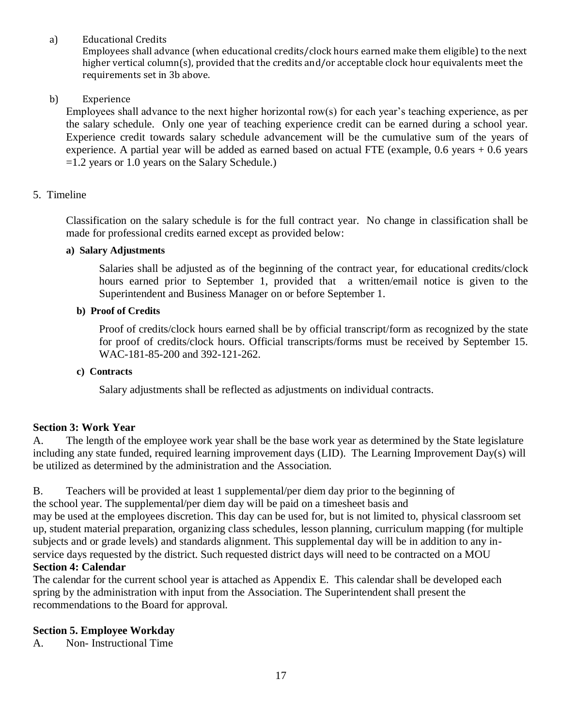a) Educational Credits

Employees shall advance (when educational credits/clock hours earned make them eligible) to the next higher vertical column(s), provided that the credits and/or acceptable clock hour equivalents meet the requirements set in 3b above.

b) Experience

Employees shall advance to the next higher horizontal row(s) for each year's teaching experience, as per the salary schedule. Only one year of teaching experience credit can be earned during a school year. Experience credit towards salary schedule advancement will be the cumulative sum of the years of experience. A partial year will be added as earned based on actual FTE (example, 0.6 years + 0.6 years =1.2 years or 1.0 years on the Salary Schedule.)

#### 5. Timeline

Classification on the salary schedule is for the full contract year. No change in classification shall be made for professional credits earned except as provided below:

#### **a) Salary Adjustments**

Salaries shall be adjusted as of the beginning of the contract year, for educational credits/clock hours earned prior to September 1, provided that a written/email notice is given to the Superintendent and Business Manager on or before September 1.

#### **b) Proof of Credits**

Proof of credits/clock hours earned shall be by official transcript/form as recognized by the state for proof of credits/clock hours. Official transcripts/forms must be received by September 15. WAC-181-85-200 and 392-121-262.

#### **c) Contracts**

Salary adjustments shall be reflected as adjustments on individual contracts.

#### **Section 3: Work Year**

A. The length of the employee work year shall be the base work year as determined by the State legislature including any state funded, required learning improvement days (LID). The Learning Improvement Day(s) will be utilized as determined by the administration and the Association.

B. Teachers will be provided at least 1 supplemental/per diem day prior to the beginning of the school year. The supplemental/per diem day will be paid on a timesheet basis and may be used at the employees discretion. This day can be used for, but is not limited to, physical classroom set up, student material preparation, organizing class schedules, lesson planning, curriculum mapping (for multiple subjects and or grade levels) and standards alignment. This supplemental day will be in addition to any inservice days requested by the district. Such requested district days will need to be contracted on a MOU **Section 4: Calendar**

The calendar for the current school year is attached as Appendix E. This calendar shall be developed each spring by the administration with input from the Association. The Superintendent shall present the recommendations to the Board for approval.

#### **Section 5. Employee Workday**

A. Non- Instructional Time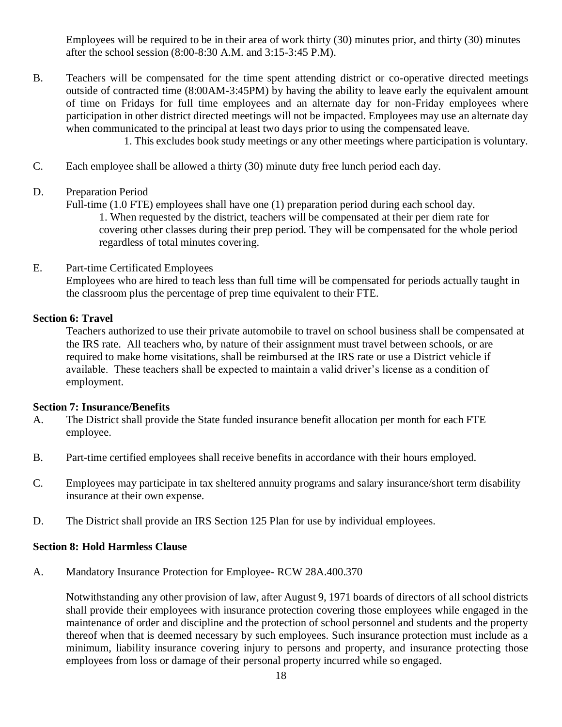Employees will be required to be in their area of work thirty (30) minutes prior, and thirty (30) minutes after the school session (8:00-8:30 A.M. and 3:15-3:45 P.M).

B. Teachers will be compensated for the time spent attending district or co-operative directed meetings outside of contracted time (8:00AM-3:45PM) by having the ability to leave early the equivalent amount of time on Fridays for full time employees and an alternate day for non-Friday employees where participation in other district directed meetings will not be impacted. Employees may use an alternate day when communicated to the principal at least two days prior to using the compensated leave.

1. This excludes book study meetings or any other meetings where participation is voluntary.

- C. Each employee shall be allowed a thirty (30) minute duty free lunch period each day.
- D. Preparation Period

Full-time (1.0 FTE) employees shall have one (1) preparation period during each school day.

1. When requested by the district, teachers will be compensated at their per diem rate for covering other classes during their prep period. They will be compensated for the whole period regardless of total minutes covering.

#### E. Part-time Certificated Employees

Employees who are hired to teach less than full time will be compensated for periods actually taught in the classroom plus the percentage of prep time equivalent to their FTE.

#### **Section 6: Travel**

Teachers authorized to use their private automobile to travel on school business shall be compensated at the IRS rate. All teachers who, by nature of their assignment must travel between schools, or are required to make home visitations, shall be reimbursed at the IRS rate or use a District vehicle if available. These teachers shall be expected to maintain a valid driver's license as a condition of employment.

#### **Section 7: Insurance/Benefits**

- A. The District shall provide the State funded insurance benefit allocation per month for each FTE employee.
- B. Part-time certified employees shall receive benefits in accordance with their hours employed.
- C. Employees may participate in tax sheltered annuity programs and salary insurance/short term disability insurance at their own expense.
- D. The District shall provide an IRS Section 125 Plan for use by individual employees.

#### **Section 8: Hold Harmless Clause**

A. Mandatory Insurance Protection for Employee- RCW 28A.400.370

Notwithstanding any other provision of law, after August 9, 1971 boards of directors of all school districts shall provide their employees with insurance protection covering those employees while engaged in the maintenance of order and discipline and the protection of school personnel and students and the property thereof when that is deemed necessary by such employees. Such insurance protection must include as a minimum, liability insurance covering injury to persons and property, and insurance protecting those employees from loss or damage of their personal property incurred while so engaged.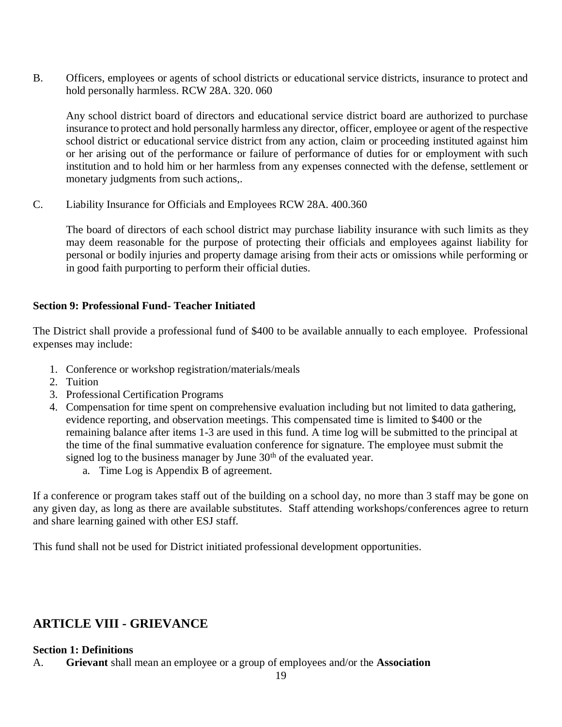B. Officers, employees or agents of school districts or educational service districts, insurance to protect and hold personally harmless. RCW 28A. 320. 060

Any school district board of directors and educational service district board are authorized to purchase insurance to protect and hold personally harmless any director, officer, employee or agent of the respective school district or educational service district from any action, claim or proceeding instituted against him or her arising out of the performance or failure of performance of duties for or employment with such institution and to hold him or her harmless from any expenses connected with the defense, settlement or monetary judgments from such actions,.

C. Liability Insurance for Officials and Employees RCW 28A. 400.360

The board of directors of each school district may purchase liability insurance with such limits as they may deem reasonable for the purpose of protecting their officials and employees against liability for personal or bodily injuries and property damage arising from their acts or omissions while performing or in good faith purporting to perform their official duties.

#### **Section 9: Professional Fund- Teacher Initiated**

The District shall provide a professional fund of \$400 to be available annually to each employee. Professional expenses may include:

- 1. Conference or workshop registration/materials/meals
- 2. Tuition
- 3. Professional Certification Programs
- 4. Compensation for time spent on comprehensive evaluation including but not limited to data gathering, evidence reporting, and observation meetings. This compensated time is limited to \$400 or the remaining balance after items 1-3 are used in this fund. A time log will be submitted to the principal at the time of the final summative evaluation conference for signature. The employee must submit the signed log to the business manager by June  $30<sup>th</sup>$  of the evaluated year.
	- a. Time Log is Appendix B of agreement.

If a conference or program takes staff out of the building on a school day, no more than 3 staff may be gone on any given day, as long as there are available substitutes. Staff attending workshops/conferences agree to return and share learning gained with other ESJ staff.

This fund shall not be used for District initiated professional development opportunities.

## **ARTICLE VIII - GRIEVANCE**

#### **Section 1: Definitions**

A. **Grievant** shall mean an employee or a group of employees and/or the **Association**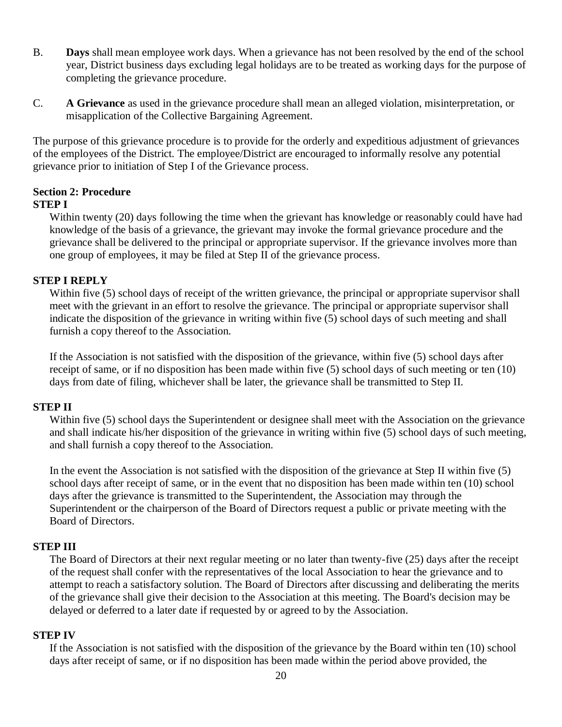- B. **Days** shall mean employee work days. When a grievance has not been resolved by the end of the school year, District business days excluding legal holidays are to be treated as working days for the purpose of completing the grievance procedure.
- C. **A Grievance** as used in the grievance procedure shall mean an alleged violation, misinterpretation, or misapplication of the Collective Bargaining Agreement.

The purpose of this grievance procedure is to provide for the orderly and expeditious adjustment of grievances of the employees of the District. The employee/District are encouraged to informally resolve any potential grievance prior to initiation of Step I of the Grievance process.

#### **Section 2: Procedure STEP I**

Within twenty (20) days following the time when the grievant has knowledge or reasonably could have had knowledge of the basis of a grievance, the grievant may invoke the formal grievance procedure and the grievance shall be delivered to the principal or appropriate supervisor. If the grievance involves more than one group of employees, it may be filed at Step II of the grievance process.

#### **STEP I REPLY**

Within five (5) school days of receipt of the written grievance, the principal or appropriate supervisor shall meet with the grievant in an effort to resolve the grievance. The principal or appropriate supervisor shall indicate the disposition of the grievance in writing within five (5) school days of such meeting and shall furnish a copy thereof to the Association.

If the Association is not satisfied with the disposition of the grievance, within five (5) school days after receipt of same, or if no disposition has been made within five (5) school days of such meeting or ten (10) days from date of filing, whichever shall be later, the grievance shall be transmitted to Step II.

#### **STEP II**

Within five (5) school days the Superintendent or designee shall meet with the Association on the grievance and shall indicate his/her disposition of the grievance in writing within five (5) school days of such meeting, and shall furnish a copy thereof to the Association.

In the event the Association is not satisfied with the disposition of the grievance at Step II within five (5) school days after receipt of same, or in the event that no disposition has been made within ten (10) school days after the grievance is transmitted to the Superintendent, the Association may through the Superintendent or the chairperson of the Board of Directors request a public or private meeting with the Board of Directors.

#### **STEP III**

The Board of Directors at their next regular meeting or no later than twenty-five (25) days after the receipt of the request shall confer with the representatives of the local Association to hear the grievance and to attempt to reach a satisfactory solution. The Board of Directors after discussing and deliberating the merits of the grievance shall give their decision to the Association at this meeting. The Board's decision may be delayed or deferred to a later date if requested by or agreed to by the Association.

#### **STEP IV**

If the Association is not satisfied with the disposition of the grievance by the Board within ten (10) school days after receipt of same, or if no disposition has been made within the period above provided, the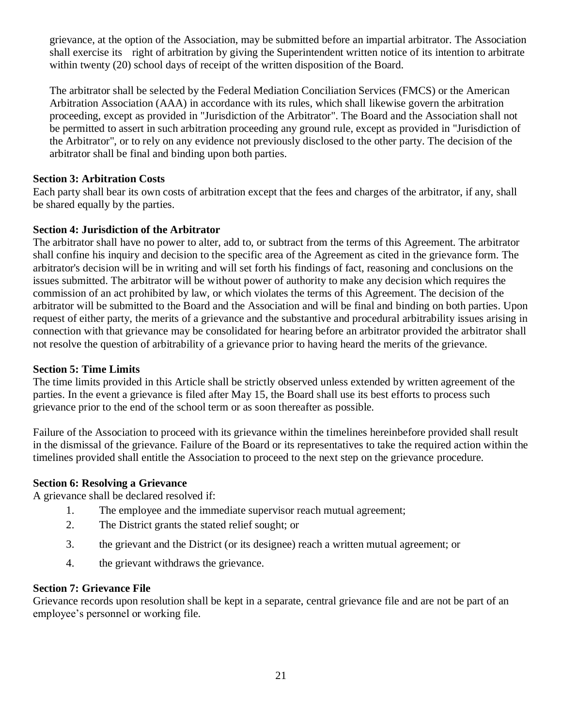grievance, at the option of the Association, may be submitted before an impartial arbitrator. The Association shall exercise its right of arbitration by giving the Superintendent written notice of its intention to arbitrate within twenty (20) school days of receipt of the written disposition of the Board.

The arbitrator shall be selected by the Federal Mediation Conciliation Services (FMCS) or the American Arbitration Association (AAA) in accordance with its rules, which shall likewise govern the arbitration proceeding, except as provided in "Jurisdiction of the Arbitrator". The Board and the Association shall not be permitted to assert in such arbitration proceeding any ground rule, except as provided in "Jurisdiction of the Arbitrator", or to rely on any evidence not previously disclosed to the other party. The decision of the arbitrator shall be final and binding upon both parties.

#### **Section 3: Arbitration Costs**

Each party shall bear its own costs of arbitration except that the fees and charges of the arbitrator, if any, shall be shared equally by the parties.

#### **Section 4: Jurisdiction of the Arbitrator**

The arbitrator shall have no power to alter, add to, or subtract from the terms of this Agreement. The arbitrator shall confine his inquiry and decision to the specific area of the Agreement as cited in the grievance form. The arbitrator's decision will be in writing and will set forth his findings of fact, reasoning and conclusions on the issues submitted. The arbitrator will be without power of authority to make any decision which requires the commission of an act prohibited by law, or which violates the terms of this Agreement. The decision of the arbitrator will be submitted to the Board and the Association and will be final and binding on both parties. Upon request of either party, the merits of a grievance and the substantive and procedural arbitrability issues arising in connection with that grievance may be consolidated for hearing before an arbitrator provided the arbitrator shall not resolve the question of arbitrability of a grievance prior to having heard the merits of the grievance.

#### **Section 5: Time Limits**

The time limits provided in this Article shall be strictly observed unless extended by written agreement of the parties. In the event a grievance is filed after May 15, the Board shall use its best efforts to process such grievance prior to the end of the school term or as soon thereafter as possible.

Failure of the Association to proceed with its grievance within the timelines hereinbefore provided shall result in the dismissal of the grievance. Failure of the Board or its representatives to take the required action within the timelines provided shall entitle the Association to proceed to the next step on the grievance procedure.

#### **Section 6: Resolving a Grievance**

A grievance shall be declared resolved if:

- 1. The employee and the immediate supervisor reach mutual agreement;
- 2. The District grants the stated relief sought; or
- 3. the grievant and the District (or its designee) reach a written mutual agreement; or
- 4. the grievant withdraws the grievance.

#### **Section 7: Grievance File**

Grievance records upon resolution shall be kept in a separate, central grievance file and are not be part of an employee's personnel or working file.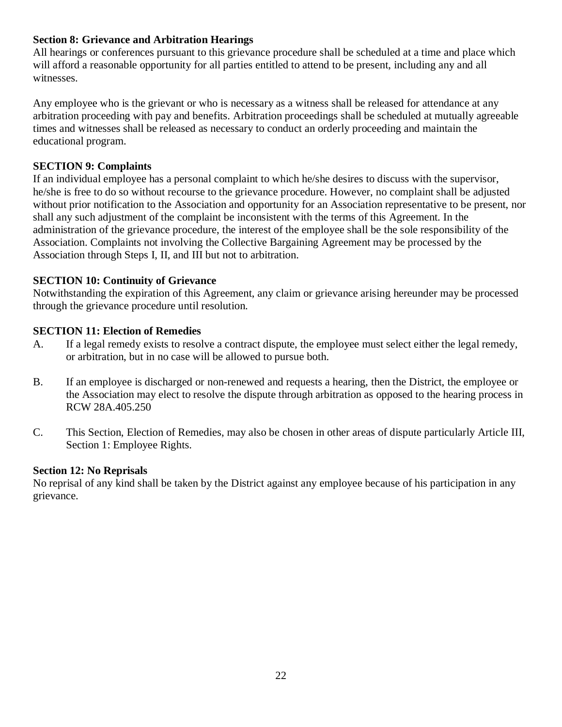#### **Section 8: Grievance and Arbitration Hearings**

All hearings or conferences pursuant to this grievance procedure shall be scheduled at a time and place which will afford a reasonable opportunity for all parties entitled to attend to be present, including any and all witnesses.

Any employee who is the grievant or who is necessary as a witness shall be released for attendance at any arbitration proceeding with pay and benefits. Arbitration proceedings shall be scheduled at mutually agreeable times and witnesses shall be released as necessary to conduct an orderly proceeding and maintain the educational program.

#### **SECTION 9: Complaints**

If an individual employee has a personal complaint to which he/she desires to discuss with the supervisor, he/she is free to do so without recourse to the grievance procedure. However, no complaint shall be adjusted without prior notification to the Association and opportunity for an Association representative to be present, nor shall any such adjustment of the complaint be inconsistent with the terms of this Agreement. In the administration of the grievance procedure, the interest of the employee shall be the sole responsibility of the Association. Complaints not involving the Collective Bargaining Agreement may be processed by the Association through Steps I, II, and III but not to arbitration.

#### **SECTION 10: Continuity of Grievance**

Notwithstanding the expiration of this Agreement, any claim or grievance arising hereunder may be processed through the grievance procedure until resolution.

#### **SECTION 11: Election of Remedies**

- A. If a legal remedy exists to resolve a contract dispute, the employee must select either the legal remedy, or arbitration, but in no case will be allowed to pursue both.
- B. If an employee is discharged or non-renewed and requests a hearing, then the District, the employee or the Association may elect to resolve the dispute through arbitration as opposed to the hearing process in RCW 28A.405.250
- C. This Section, Election of Remedies, may also be chosen in other areas of dispute particularly Article III, Section 1: Employee Rights.

#### **Section 12: No Reprisals**

No reprisal of any kind shall be taken by the District against any employee because of his participation in any grievance.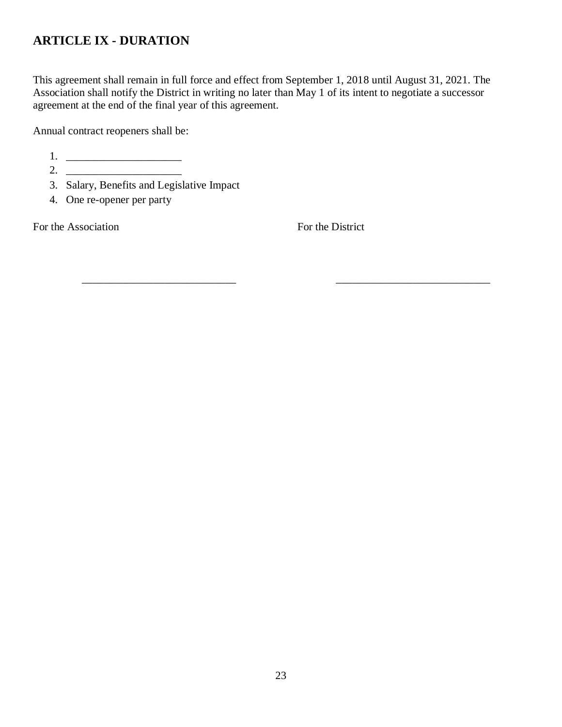## **ARTICLE IX - DURATION**

This agreement shall remain in full force and effect from September 1, 2018 until August 31, 2021. The Association shall notify the District in writing no later than May 1 of its intent to negotiate a successor agreement at the end of the final year of this agreement.

Annual contract reopeners shall be:

1.

- 2. \_\_\_\_\_\_\_\_\_\_\_\_\_\_\_\_\_\_\_\_\_ 3. Salary, Benefits and Legislative Impact
- 4. One re-opener per party

For the Association For the District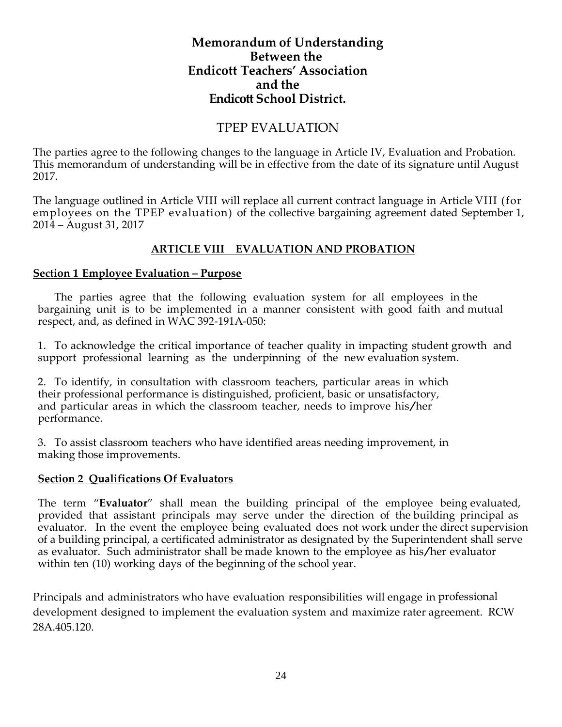## **Memorandum of Understanding Between the Endicott Teachers' Association and the Endicott School District.**

## TPEP EVALUATION

The parties agree to the following changes to the language in Article IV, Evaluation and Probation. This memorandum of understanding will be in effective from the date of its signature until August 2017.

The language outlined in Article VIII will replace all current contract language in Article VIII (for employees on the TPEP evaluation) of the collective bargaining agreement dated September 1, 2014 – August 31, 2017

#### **ARTICLE VIII EVALUATION AND PROBATION**

#### **Section 1 Employee Evaluation – Purpose**

 The parties agree that the following evaluation system for all employees in the bargaining unit is to be implemented in a manner consistent with good faith and mutual respect, and, as defined in WAC 392-191A-050:

1. To acknowledge the critical importance of teacher quality in impacting student growth and support professional learning as the underpinning of the new evaluation system.

2. To identify, in consultation with classroom teachers, particular areas in which their professional performance is distinguished, proficient, basic or unsatisfactory, and particular areas in which the classroom teacher, needs to improve his/her performance.

3. To assist classroom teachers who have identified areas needing improvement, in making those improvements.

#### **Section 2 Qualifications Of Evaluators**

The term "**Evaluator**" shall mean the building principal of the employee being evaluated, provided that assistant principals may serve under the direction of the building principal as evaluator. In the event the employee being evaluated does not work under the direct supervision of a building principal, a certificated administrator as designated by the Superintendent shall serve as evaluator. Such administrator shall be made known to the employee as his/her evaluator within ten (10) working days of the beginning of the school year.

Principals and administrators who have evaluation responsibilities will engage in professional development designed to implement the evaluation system and maximize rater agreement. RCW 28A.405.120.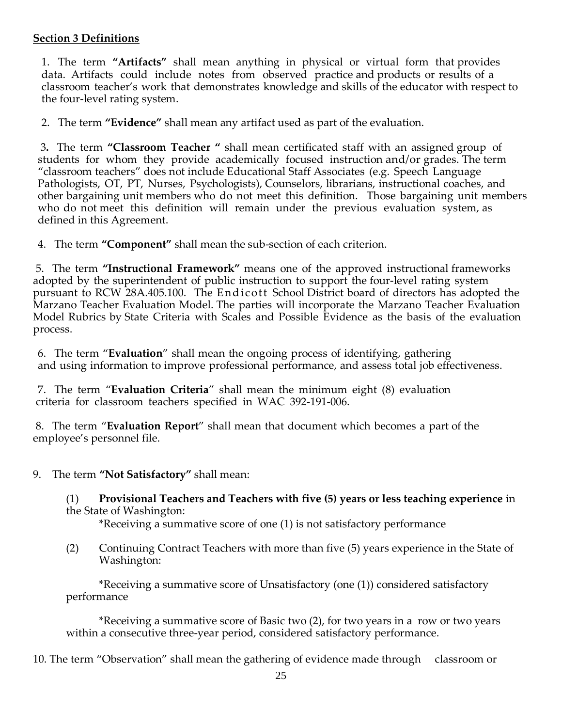#### **Section 3 Definitions**

1. The term **"Artifacts"** shall mean anything in physical or virtual form that provides data. Artifacts could include notes from observed practice and products or results of a classroom teacher's work that demonstrates knowledge and skills of the educator with respect to the four-level rating system.

2. The term **"Evidence"** shall mean any artifact used as part of the evaluation.

3**.** The term **"Classroom Teacher "** shall mean certificated staff with an assigned group of students for whom they provide academically focused instruction and/or grades. The term "classroom teachers" does not include Educational Staff Associates (e.g. Speech Language Pathologists, OT, PT, Nurses, Psychologists), Counselors, librarians, instructional coaches, and other bargaining unit members who do not meet this definition. Those bargaining unit members who do not meet this definition will remain under the previous evaluation system, as defined in this Agreement.

4. The term **"Component"** shall mean the sub-section of each criterion.

5. The term **"Instructional Framework"** means one of the approved instructional frameworks adopted by the superintendent of public instruction to support the four-level rating system pursuant to RCW 28A.405.100. The En dic ott School District board of directors has adopted the Marzano Teacher Evaluation Model. The parties will incorporate the Marzano Teacher Evaluation Model Rubrics by State Criteria with Scales and Possible Evidence as the basis of the evaluation process.

6. The term "**Evaluation**" shall mean the ongoing process of identifying, gathering and using information to improve professional performance, and assess total job effectiveness.

7. The term "**Evaluation Criteria**" shall mean the minimum eight (8) evaluation criteria for classroom teachers specified in WAC 392-191-006.

8. The term "**Evaluation Report**" shall mean that document which becomes a part of the employee's personnel file.

9. The term **"Not Satisfactory"** shall mean:

(1) **Provisional Teachers and Teachers with five (5) years or less teaching experience** in the State of Washington:

\*Receiving a summative score of one (1) is not satisfactory performance

(2) Continuing Contract Teachers with more than five (5) years experience in the State of Washington:

\*Receiving a summative score of Unsatisfactory (one (1)) considered satisfactory performance

\*Receiving a summative score of Basic two (2), for two years in a row or two years within a consecutive three-year period, considered satisfactory performance.

10. The term "Observation" shall mean the gathering of evidence made through classroom or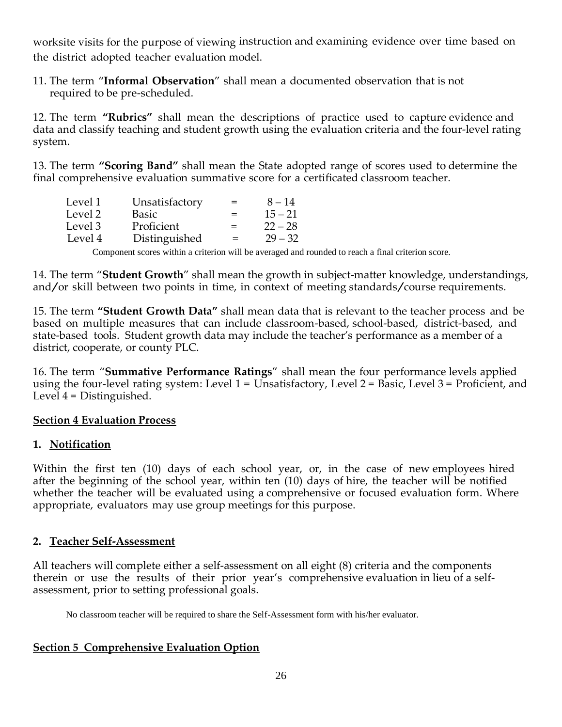worksite visits for the purpose of viewing instruction and examining evidence over time based on the district adopted teacher evaluation model.

11. The term "**Informal Observation**" shall mean a documented observation that is not required to be pre-scheduled.

12. The term **"Rubrics"** shall mean the descriptions of practice used to capture evidence and data and classify teaching and student growth using the evaluation criteria and the four-level rating system.

13. The term **"Scoring Band"** shall mean the State adopted range of scores used to determine the final comprehensive evaluation summative score for a certificated classroom teacher.

| Level 1 | Unsatisfactory | $=$ | $8 - 14$  |
|---------|----------------|-----|-----------|
| Level 2 | Basic          | $=$ | $15 - 21$ |
| Level 3 | Proficient     | $=$ | $22 - 28$ |
| Level 4 | Distinguished  | $=$ | $29 - 32$ |

Component scores within a criterion will be averaged and rounded to reach a final criterion score.

14. The term "**Student Growth**" shall mean the growth in subject-matter knowledge, understandings, and/or skill between two points in time, in context of meeting standards/course requirements.

15. The term **"Student Growth Data"** shall mean data that is relevant to the teacher process and be based on multiple measures that can include classroom-based, school-based, district-based, and state-based tools. Student growth data may include the teacher's performance as a member of a district, cooperate, or county PLC.

16. The term "**Summative Performance Ratings**" shall mean the four performance levels applied using the four-level rating system: Level  $1 =$  Unsatisfactory, Level  $2 =$  Basic, Level  $3 =$  Proficient, and Level  $4 =$  Distinguished.

#### **Section 4 Evaluation Process**

#### **1. Notification**

Within the first ten (10) days of each school year, or, in the case of new employees hired after the beginning of the school year, within ten (10) days of hire, the teacher will be notified whether the teacher will be evaluated using a comprehensive or focused evaluation form. Where appropriate, evaluators may use group meetings for this purpose.

#### **2. Teacher Self-Assessment**

All teachers will complete either a self-assessment on all eight (8) criteria and the components therein or use the results of their prior year's comprehensive evaluation in lieu of a selfassessment, prior to setting professional goals.

No classroom teacher will be required to share the Self-Assessment form with his/her evaluator.

#### **Section 5 Comprehensive Evaluation Option**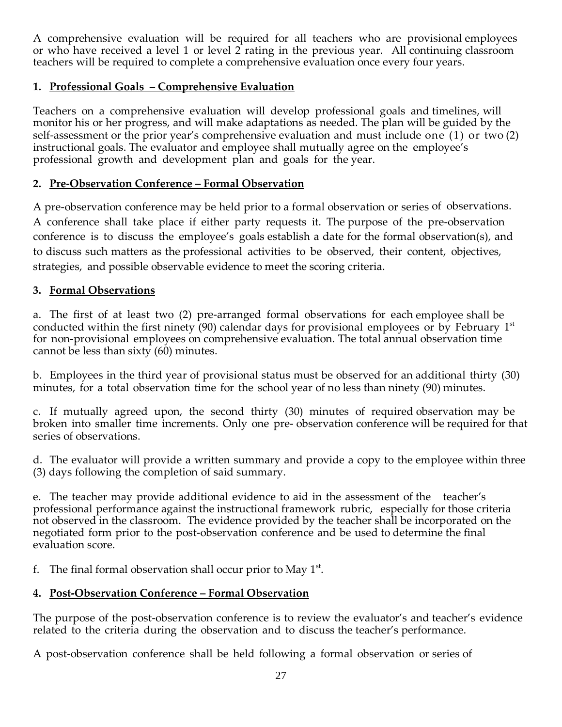A comprehensive evaluation will be required for all teachers who are provisional employees or who have received a level 1 or level 2 rating in the previous year. All continuing classroom teachers will be required to complete a comprehensive evaluation once every four years.

#### **1. Professional Goals – Comprehensive Evaluation**

Teachers on a comprehensive evaluation will develop professional goals and timelines, will monitor his or her progress, and will make adaptations as needed. The plan will be guided by the self-assessment or the prior year's comprehensive evaluation and must include one (1) or two (2) instructional goals. The evaluator and employee shall mutually agree on the employee's professional growth and development plan and goals for the year.

#### **2. Pre-Observation Conference – Formal Observation**

A pre-observation conference may be held prior to a formal observation or series of observations. A conference shall take place if either party requests it. The purpose of the pre-observation conference is to discuss the employee's goals establish a date for the formal observation(s), and to discuss such matters as the professional activities to be observed, their content, objectives, strategies, and possible observable evidence to meet the scoring criteria.

#### **3. Formal Observations**

a. The first of at least two (2) pre-arranged formal observations for each employee shall be conducted within the first ninety (90) calendar days for provisional employees or by February  $1<sup>st</sup>$ for non-provisional employees on comprehensive evaluation. The total annual observation time cannot be less than sixty (60) minutes.

b. Employees in the third year of provisional status must be observed for an additional thirty (30) minutes, for a total observation time for the school year of no less than ninety (90) minutes.

c. If mutually agreed upon, the second thirty (30) minutes of required observation may be broken into smaller time increments. Only one pre- observation conference will be required for that series of observations.

d. The evaluator will provide a written summary and provide a copy to the employee within three (3) days following the completion of said summary.

e. The teacher may provide additional evidence to aid in the assessment of the teacher's professional performance against the instructional framework rubric, especially for those criteria not observed in the classroom. The evidence provided by the teacher shall be incorporated on the negotiated form prior to the post-observation conference and be used to determine the final evaluation score.

f. The final formal observation shall occur prior to May  $1<sup>st</sup>$ .

#### **4. Post-Observation Conference – Formal Observation**

The purpose of the post-observation conference is to review the evaluator's and teacher's evidence related to the criteria during the observation and to discuss the teacher's performance.

A post-observation conference shall be held following a formal observation or series of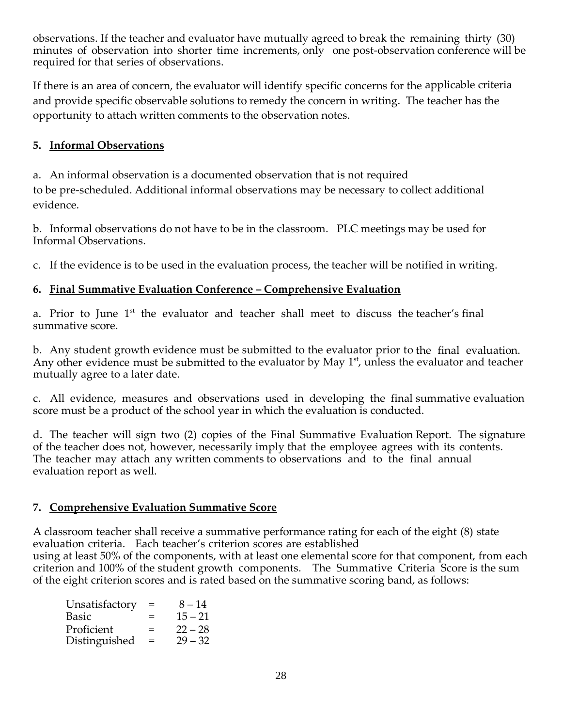observations. If the teacher and evaluator have mutually agreed to break the remaining thirty (30) minutes of observation into shorter time increments, only one post-observation conference will be required for that series of observations.

If there is an area of concern, the evaluator will identify specific concerns for the applicable criteria and provide specific observable solutions to remedy the concern in writing. The teacher has the opportunity to attach written comments to the observation notes.

#### **5. Informal Observations**

a. An informal observation is a documented observation that is not required to be pre-scheduled. Additional informal observations may be necessary to collect additional evidence.

b. Informal observations do not have to be in the classroom. PLC meetings may be used for Informal Observations.

c. If the evidence is to be used in the evaluation process, the teacher will be notified in writing.

#### **6. Final Summative Evaluation Conference – Comprehensive Evaluation**

a. Prior to June 1<sup>st</sup> the evaluator and teacher shall meet to discuss the teacher's final summative score.

b. Any student growth evidence must be submitted to the evaluator prior to the final evaluation. Any other evidence must be submitted to the evaluator by May  $1<sup>st</sup>$ , unless the evaluator and teacher mutually agree to a later date.

c. All evidence, measures and observations used in developing the final summative evaluation score must be a product of the school year in which the evaluation is conducted.

d. The teacher will sign two (2) copies of the Final Summative Evaluation Report. The signature of the teacher does not, however, necessarily imply that the employee agrees with its contents. The teacher may attach any written comments to observations and to the final annual evaluation report as well.

#### **7. Comprehensive Evaluation Summative Score**

A classroom teacher shall receive a summative performance rating for each of the eight (8) state evaluation criteria. Each teacher's criterion scores are established using at least 50% of the components, with at least one elemental score for that component, from each criterion and 100% of the student growth components. The Summative Criteria Score is the sum of the eight criterion scores and is rated based on the summative scoring band, as follows:

| Unsatisfactory | $=$ | $8 - 14$  |
|----------------|-----|-----------|
| Basic          | $=$ | $15 - 21$ |
| Proficient     | $=$ | $22 - 28$ |
| Distinguished  | $=$ | $29 - 32$ |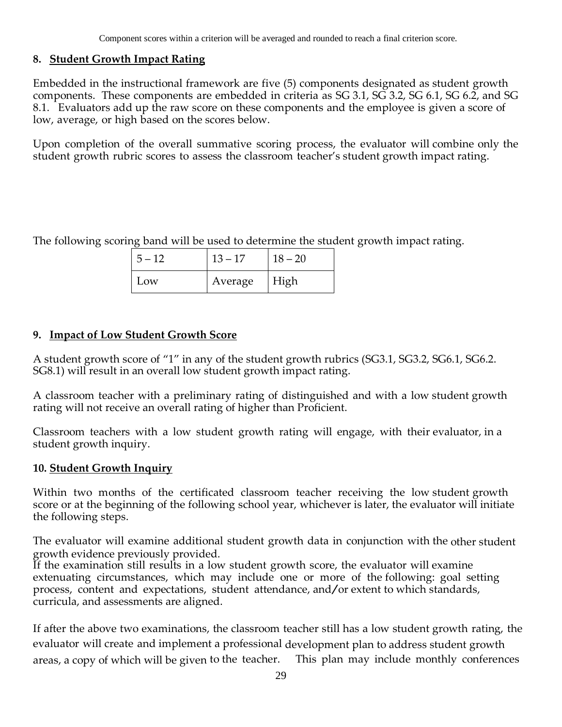#### **8. Student Growth Impact Rating**

Embedded in the instructional framework are five (5) components designated as student growth components. These components are embedded in criteria as SG 3.1, SG 3.2, SG 6.1, SG 6.2, and SG 8.1. Evaluators add up the raw score on these components and the employee is given a score of low, average, or high based on the scores below.

Upon completion of the overall summative scoring process, the evaluator will combine only the student growth rubric scores to assess the classroom teacher's student growth impact rating.

The following scoring band will be used to determine the student growth impact rating.

| $5 - 12$ | $13 - 17$ | $18 - 20$ |
|----------|-----------|-----------|
| Low      | Average   | High      |

#### **9. Impact of Low Student Growth Score**

A student growth score of "1" in any of the student growth rubrics (SG3.1, SG3.2, SG6.1, SG6.2. SG8.1) will result in an overall low student growth impact rating.

A classroom teacher with a preliminary rating of distinguished and with a low student growth rating will not receive an overall rating of higher than Proficient.

Classroom teachers with a low student growth rating will engage, with their evaluator, in a student growth inquiry.

#### **10. Student Growth Inquiry**

Within two months of the certificated classroom teacher receiving the low student growth score or at the beginning of the following school year, whichever is later, the evaluator will initiate the following steps.

The evaluator will examine additional student growth data in conjunction with the other student growth evidence previously provided.

If the examination still results in a low student growth score, the evaluator will examine extenuating circumstances, which may include one or more of the following: goal setting process, content and expectations, student attendance, and/or extent to which standards, curricula, and assessments are aligned.

If after the above two examinations, the classroom teacher still has a low student growth rating, the evaluator will create and implement a professional development plan to address student growth areas, a copy of which will be given to the teacher. This plan may include monthly conferences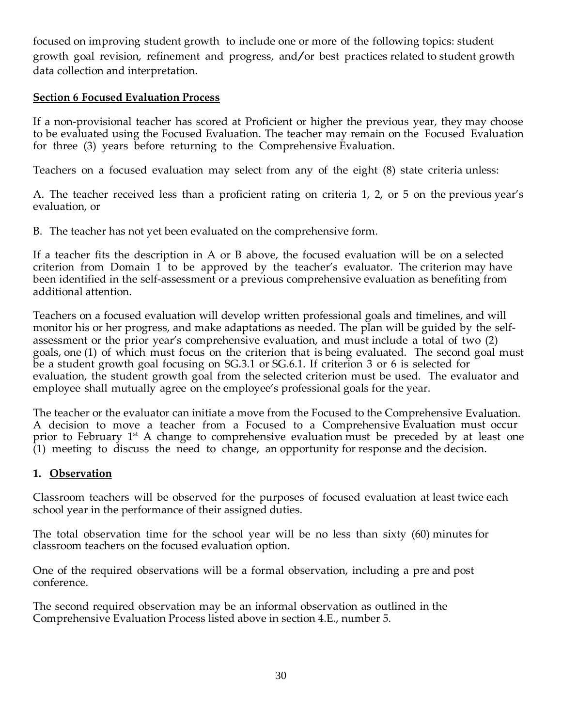focused on improving student growth to include one or more of the following topics: student growth goal revision, refinement and progress, and/or best practices related to student growth data collection and interpretation.

#### **Section 6 Focused Evaluation Process**

If a non-provisional teacher has scored at Proficient or higher the previous year, they may choose to be evaluated using the Focused Evaluation. The teacher may remain on the Focused Evaluation for three (3) years before returning to the Comprehensive Evaluation.

Teachers on a focused evaluation may select from any of the eight (8) state criteria unless:

A. The teacher received less than a proficient rating on criteria 1, 2, or 5 on the previous year's evaluation, or

B. The teacher has not yet been evaluated on the comprehensive form.

If a teacher fits the description in A or B above, the focused evaluation will be on a selected criterion from Domain 1 to be approved by the teacher's evaluator. The criterion may have been identified in the self-assessment or a previous comprehensive evaluation as benefiting from additional attention.

Teachers on a focused evaluation will develop written professional goals and timelines, and will monitor his or her progress, and make adaptations as needed. The plan will be guided by the selfassessment or the prior year's comprehensive evaluation, and must include a total of two (2) goals, one (1) of which must focus on the criterion that is being evaluated. The second goal must be a student growth goal focusing on SG.3.1 or SG.6.1. If criterion 3 or 6 is selected for evaluation, the student growth goal from the selected criterion must be used. The evaluator and employee shall mutually agree on the employee's professional goals for the year.

The teacher or the evaluator can initiate a move from the Focused to the Comprehensive Evaluation. A decision to move a teacher from a Focused to a Comprehensive Evaluation must occur prior to February  $1<sup>st</sup>$  A change to comprehensive evaluation must be preceded by at least one (1) meeting to discuss the need to change, an opportunity for response and the decision.

#### **1. Observation**

Classroom teachers will be observed for the purposes of focused evaluation at least twice each school year in the performance of their assigned duties.

The total observation time for the school year will be no less than sixty (60) minutes for classroom teachers on the focused evaluation option.

One of the required observations will be a formal observation, including a pre and post conference.

The second required observation may be an informal observation as outlined in the Comprehensive Evaluation Process listed above in section 4.E., number 5.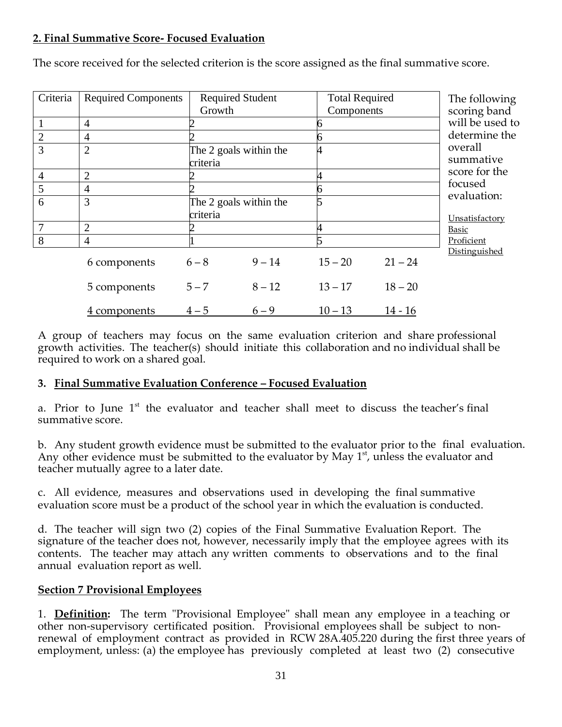### **2. Final Summative Score- Focused Evaluation**

| Criteria       | <b>Required Components</b> | <b>Required Student</b> |          | <b>Total Required</b> |           | The following          |  |  |
|----------------|----------------------------|-------------------------|----------|-----------------------|-----------|------------------------|--|--|
|                |                            | Growth                  |          | Components            |           | scoring band           |  |  |
|                | 4                          |                         |          |                       |           | will be used to        |  |  |
| $\overline{2}$ | $\overline{4}$             |                         |          |                       |           | determine the          |  |  |
| $\overline{3}$ | $\overline{2}$             | The 2 goals within the  |          |                       |           | overall                |  |  |
|                |                            | criteria                |          |                       |           | summative              |  |  |
| $\overline{4}$ | $\overline{2}$             |                         |          |                       |           | score for the          |  |  |
| 5              | 4                          |                         |          |                       |           | focused<br>evaluation: |  |  |
| 6              | 3                          | The 2 goals within the  |          |                       |           |                        |  |  |
|                |                            | criteria                |          |                       |           | Unsatisfactory         |  |  |
| 7              | $\overline{2}$             |                         |          |                       |           | <b>Basic</b>           |  |  |
| 8              | $\overline{4}$             |                         |          |                       |           | Proficient             |  |  |
|                | 6 components               | $6 - 8$                 | $9 - 14$ | $15 - 20$             | $21 - 24$ | Distinguished          |  |  |
|                | 5 components               | $5 - 7$                 | $8 - 12$ | $13 - 17$             | $18 - 20$ |                        |  |  |
|                | 4 components               | $4 - 5$                 | $6 - 9$  | $10 - 13$             | $14 - 16$ |                        |  |  |

The score received for the selected criterion is the score assigned as the final summative score.

A group of teachers may focus on the same evaluation criterion and share professional growth activities. The teacher(s) should initiate this collaboration and no individual shall be required to work on a shared goal.

#### **3. Final Summative Evaluation Conference – Focused Evaluation**

a. Prior to June 1<sup>st</sup> the evaluator and teacher shall meet to discuss the teacher's final summative score.

b. Any student growth evidence must be submitted to the evaluator prior to the final evaluation. Any other evidence must be submitted to the evaluator by May  $1<sup>st</sup>$ , unless the evaluator and teacher mutually agree to a later date.

c. All evidence, measures and observations used in developing the final summative evaluation score must be a product of the school year in which the evaluation is conducted.

d. The teacher will sign two (2) copies of the Final Summative Evaluation Report. The signature of the teacher does not, however, necessarily imply that the employee agrees with its contents. The teacher may attach any written comments to observations and to the final annual evaluation report as well.

#### **Section 7 Provisional Employees**

1. **Definition:** The term "Provisional Employee" shall mean any employee in a teaching or other non-supervisory certificated position. Provisional employees shall be subject to nonrenewal of employment contract as provided in RCW 28A.405.220 during the first three years of employment, unless: (a) the employee has previously completed at least two (2) consecutive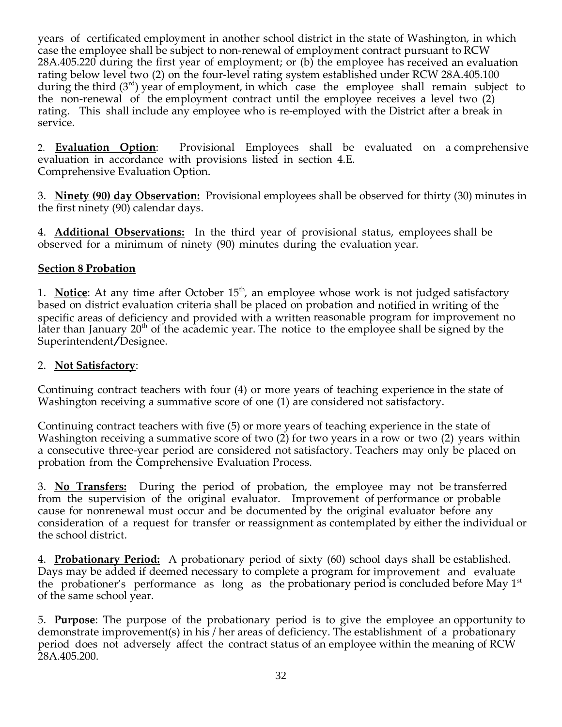years of certificated employment in another school district in the state of Washington, in which case the employee shall be subject to non-renewal of employment contract pursuant to RCW 28A.405.220 during the first year of employment; or (b) the employee has received an evaluation rating below level two (2) on the four-level rating system established under RCW 28A.405.100 during the third  $(3<sup>rd</sup>)$  year of employment, in which case the employee shall remain subject to the non-renewal of the employment contract until the employee receives a level two (2) rating. This shall include any employee who is re-employed with the District after a break in service.

2. **Evaluation Option**: Provisional Employees shall be evaluated on a comprehensive evaluation in accordance with provisions listed in section 4.E. Comprehensive Evaluation Option.

3. **Ninety (90) day Observation:** Provisional employees shall be observed for thirty (30) minutes in the first ninety (90) calendar days.

4. **Additional Observations:** In the third year of provisional status, employees shall be observed for a minimum of ninety (90) minutes during the evaluation year.

#### **Section 8 Probation**

1. **Notice**: At any time after October 15<sup>th</sup>, an employee whose work is not judged satisfactory based on district evaluation criteria shall be placed on probation and notified in writing of the specific areas of deficiency and provided with a written reasonable program for improvement no later than January  $20<sup>th</sup>$  of the academic year. The notice to the employee shall be signed by the Superintendent/Designee.

### 2. **Not Satisfactory**:

Continuing contract teachers with four (4) or more years of teaching experience in the state of Washington receiving a summative score of one (1) are considered not satisfactory.

Continuing contract teachers with five (5) or more years of teaching experience in the state of Washington receiving a summative score of two (2) for two years in a row or two (2) years within a consecutive three-year period are considered not satisfactory. Teachers may only be placed on probation from the Comprehensive Evaluation Process.

3. **No Transfers:** During the period of probation, the employee may not be transferred from the supervision of the original evaluator. Improvement of performance or probable cause for nonrenewal must occur and be documented by the original evaluator before any consideration of a request for transfer or reassignment as contemplated by either the individual or the school district.

4. **Probationary Period:** A probationary period of sixty (60) school days shall be established. Days may be added if deemed necessary to complete a program for improvement and evaluate the probationer's performance as long as the probationary period is concluded before May  $1<sup>st</sup>$ of the same school year.

5. **Purpose**: The purpose of the probationary period is to give the employee an opportunity to demonstrate improvement(s) in his / her areas of deficiency. The establishment of a probationary period does not adversely affect the contract status of an employee within the meaning of RCW 28A.405.200.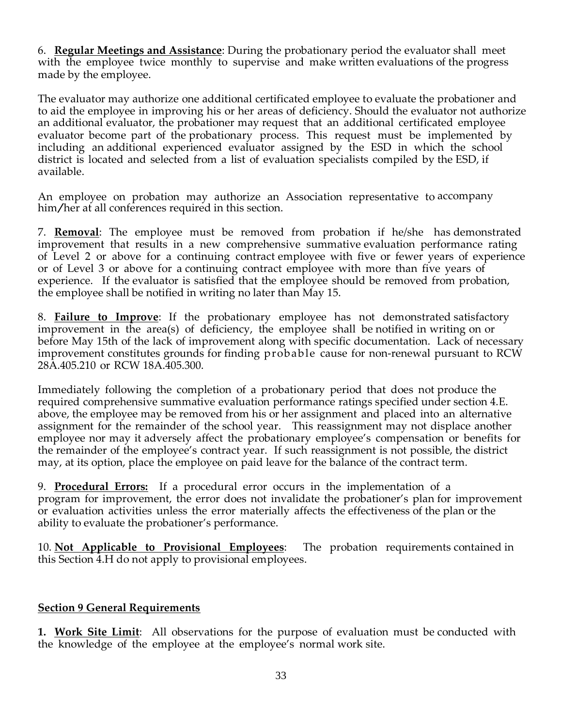6. **Regular Meetings and Assistance**: During the probationary period the evaluator shall meet with the employee twice monthly to supervise and make written evaluations of the progress made by the employee.

The evaluator may authorize one additional certificated employee to evaluate the probationer and to aid the employee in improving his or her areas of deficiency. Should the evaluator not authorize an additional evaluator, the probationer may request that an additional certificated employee evaluator become part of the probationary process. This request must be implemented by including an additional experienced evaluator assigned by the ESD in which the school district is located and selected from a list of evaluation specialists compiled by the ESD, if available.

An employee on probation may authorize an Association representative to accompany him/her at all conferences required in this section.

7. **Removal**: The employee must be removed from probation if he/she has demonstrated improvement that results in a new comprehensive summative evaluation performance rating of Level 2 or above for a continuing contract employee with five or fewer years of experience or of Level 3 or above for a continuing contract employee with more than five years of experience. If the evaluator is satisfied that the employee should be removed from probation, the employee shall be notified in writing no later than May 15.

8. **Failure to Improve**: If the probationary employee has not demonstrated satisfactory improvement in the area(s) of deficiency, the employee shall be notified in writing on or before May 15th of the lack of improvement along with specific documentation. Lack of necessary improvement constitutes grounds for finding probable cause for non-renewal pursuant to RCW 28A.405.210 or RCW 18A.405.300.

Immediately following the completion of a probationary period that does not produce the required comprehensive summative evaluation performance ratings specified under section 4.E. above, the employee may be removed from his or her assignment and placed into an alternative assignment for the remainder of the school year. This reassignment may not displace another employee nor may it adversely affect the probationary employee's compensation or benefits for the remainder of the employee's contract year. If such reassignment is not possible, the district may, at its option, place the employee on paid leave for the balance of the contract term.

9. **Procedural Errors:** If a procedural error occurs in the implementation of a program for improvement, the error does not invalidate the probationer's plan for improvement or evaluation activities unless the error materially affects the effectiveness of the plan or the ability to evaluate the probationer's performance.

10. **Not Applicable to Provisional Employees**: The probation requirements contained in this Section 4.H do not apply to provisional employees.

#### **Section 9 General Requirements**

**1. Work Site Limit**: All observations for the purpose of evaluation must be conducted with the knowledge of the employee at the employee's normal work site.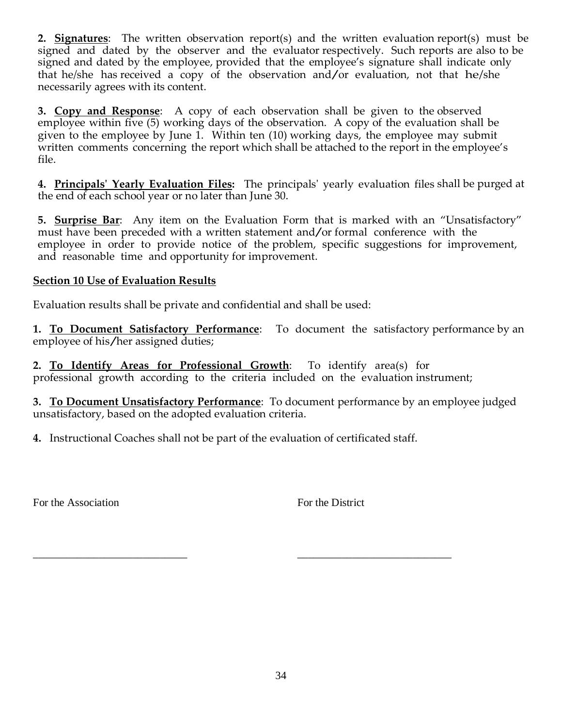**2. Signatures**: The written observation report(s) and the written evaluation report(s) must be signed and dated by the observer and the evaluator respectively. Such reports are also to be signed and dated by the employee, provided that the employee's signature shall indicate only that he/she has received a copy of the observation and/or evaluation, not that he/she necessarily agrees with its content.

**3. Copy and Response**: A copy of each observation shall be given to the observed employee within five (5) working days of the observation. A copy of the evaluation shall be given to the employee by June 1. Within ten (10) working days, the employee may submit written comments concerning the report which shall be attached to the report in the employee's file.

**4. Principals' Yearly Evaluation Files:** The principals' yearly evaluation files shall be purged at the end of each school year or no later than June 30.

**5. Surprise Bar**: Any item on the Evaluation Form that is marked with an "Unsatisfactory" must have been preceded with <sup>a</sup> written statement and/or formal conference with the employee in order to provide notice of the problem, specific suggestions for improvement, and reasonable time and opportunity for improvement.

#### **Section 10 Use of Evaluation Results**

Evaluation results shall be private and confidential and shall be used:

**1. To Document Satisfactory Performance**: To document the satisfactory performance by an employee of his/her assigned duties;

**2. To Identify Areas for Professional Growth**: To identify area(s) for professional growth according to the criteria included on the evaluation instrument;

**3. To Document Unsatisfactory Performance**: To document performance by an employee judged unsatisfactory, based on the adopted evaluation criteria.

**4.** Instructional Coaches shall not be part of the evaluation of certificated staff.

\_\_\_\_\_\_\_\_\_\_\_\_\_\_\_\_\_\_\_\_\_\_\_\_\_\_\_\_ \_\_\_\_\_\_\_\_\_\_\_\_\_\_\_\_\_\_\_\_\_\_\_\_\_\_\_\_

For the Association **For the District** For the District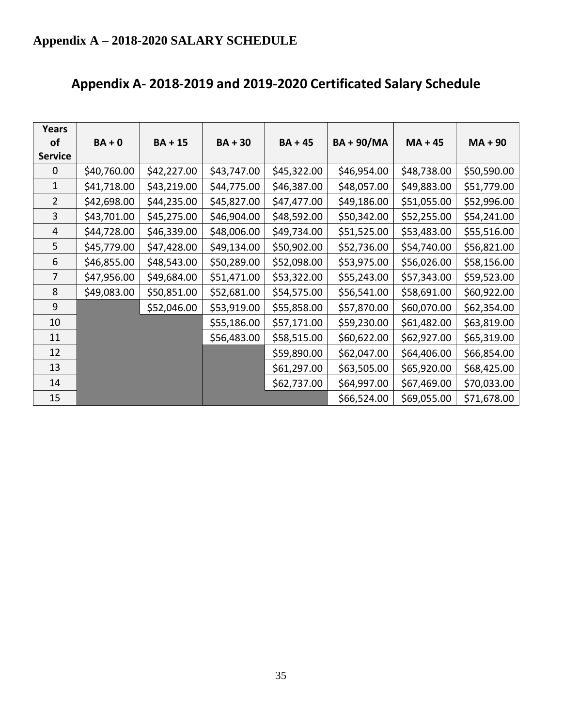| Years          |             |             |             |             |                 |             |             |
|----------------|-------------|-------------|-------------|-------------|-----------------|-------------|-------------|
| of             | $BA + 0$    | $BA + 15$   | $BA + 30$   | $BA + 45$   | <b>BA+90/MA</b> | $MA + 45$   | $MA + 90$   |
| <b>Service</b> |             |             |             |             |                 |             |             |
| 0              | \$40,760.00 | \$42,227.00 | \$43,747.00 | \$45,322.00 | \$46,954.00     | \$48,738.00 | \$50,590.00 |
| 1              | \$41,718.00 | \$43,219.00 | \$44,775.00 | \$46,387.00 | \$48,057.00     | \$49,883.00 | \$51,779.00 |
| $\overline{2}$ | \$42,698.00 | \$44,235.00 | \$45,827.00 | \$47,477.00 | \$49,186.00     | \$51,055.00 | \$52,996.00 |
| 3              | \$43,701.00 | \$45,275.00 | \$46,904.00 | \$48,592.00 | \$50,342.00     | \$52,255.00 | \$54,241.00 |
| $\overline{4}$ | \$44,728.00 | \$46,339.00 | \$48,006.00 | \$49,734.00 | \$51,525.00     | \$53,483.00 | \$55,516.00 |
| 5              | \$45,779.00 | \$47,428.00 | \$49,134.00 | \$50,902.00 | \$52,736.00     | \$54,740.00 | \$56,821.00 |
| 6              | \$46,855.00 | \$48,543.00 | \$50,289.00 | \$52,098.00 | \$53,975.00     | \$56,026.00 | \$58,156.00 |
| $\overline{7}$ | \$47,956.00 | \$49,684.00 | \$51,471.00 | \$53,322.00 | \$55,243.00     | \$57,343.00 | \$59,523.00 |
| 8              | \$49,083.00 | \$50,851.00 | \$52,681.00 | \$54,575.00 | \$56,541.00     | \$58,691.00 | \$60,922.00 |
| $\mathsf 9$    |             | \$52,046.00 | \$53,919.00 | \$55,858.00 | \$57,870.00     | \$60,070.00 | \$62,354.00 |
| 10             |             |             | \$55,186.00 | \$57,171.00 | \$59,230.00     | \$61,482.00 | \$63,819.00 |
| 11             |             |             | \$56,483.00 | \$58,515.00 | \$60,622.00     | \$62,927.00 | \$65,319.00 |
| 12             |             |             |             | \$59,890.00 | \$62,047.00     | \$64,406.00 | \$66,854.00 |
| 13             |             |             |             | \$61,297.00 | \$63,505.00     | \$65,920.00 | \$68,425.00 |
| 14             |             |             |             | \$62,737.00 | \$64,997.00     | \$67,469.00 | \$70,033.00 |
| 15             |             |             |             |             | \$66,524.00     | \$69,055.00 | \$71,678.00 |

# **Appendix A- 2018-2019 and 2019-2020 Certificated Salary Schedule**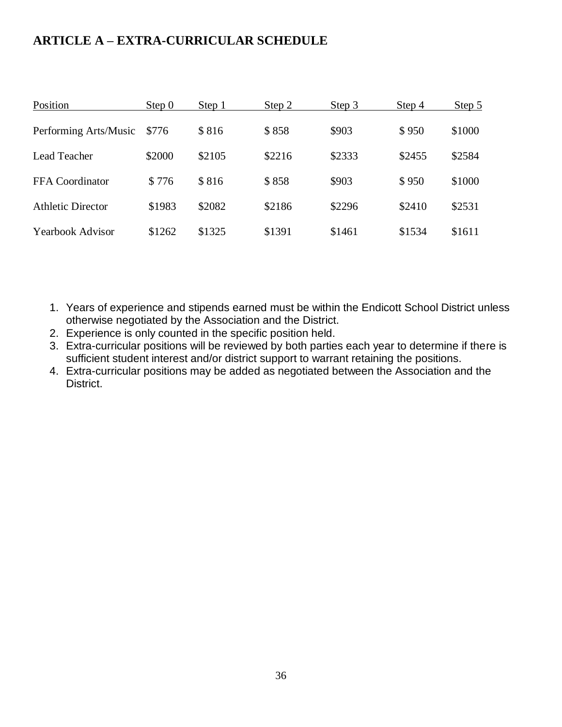## **ARTICLE A – EXTRA-CURRICULAR SCHEDULE**

| Position                 | Step 0 | Step 1 | Step 2 | Step 3 | Step 4 | Step $5$ |
|--------------------------|--------|--------|--------|--------|--------|----------|
| Performing Arts/Music    | \$776  | \$816  | \$858  | \$903  | \$950  | \$1000   |
| <b>Lead Teacher</b>      | \$2000 | \$2105 | \$2216 | \$2333 | \$2455 | \$2584   |
| <b>FFA</b> Coordinator   | \$776  | \$816  | \$858  | \$903  | \$950  | \$1000   |
| <b>Athletic Director</b> | \$1983 | \$2082 | \$2186 | \$2296 | \$2410 | \$2531   |
| <b>Yearbook Advisor</b>  | \$1262 | \$1325 | \$1391 | \$1461 | \$1534 | \$1611   |

- 1. Years of experience and stipends earned must be within the Endicott School District unless otherwise negotiated by the Association and the District.
- 2. Experience is only counted in the specific position held.
- 3. Extra-curricular positions will be reviewed by both parties each year to determine if there is sufficient student interest and/or district support to warrant retaining the positions.
- 4. Extra-curricular positions may be added as negotiated between the Association and the District.